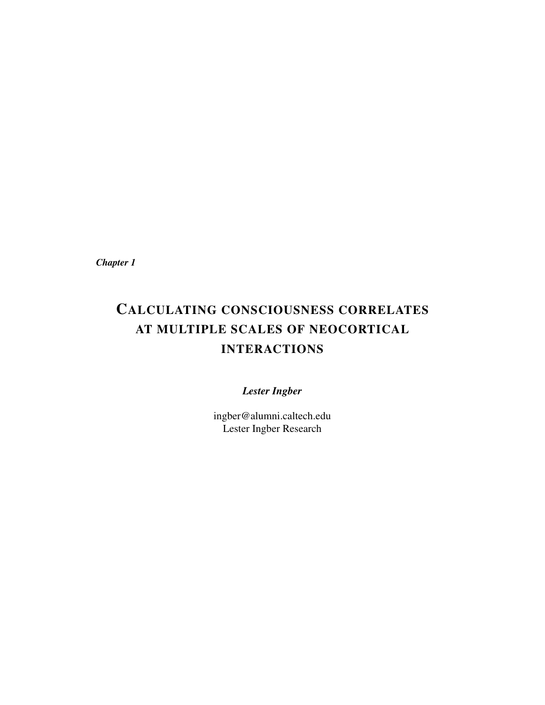*Chapter 1*

# CALCULATING CONSCIOUSNESS CORRELATES AT MULTIPLE SCALES OF NEOCORTICAL **INTERACTIONS**

# *Lester Ingber*

ingber@alumni.caltech.edu Lester Ingber Research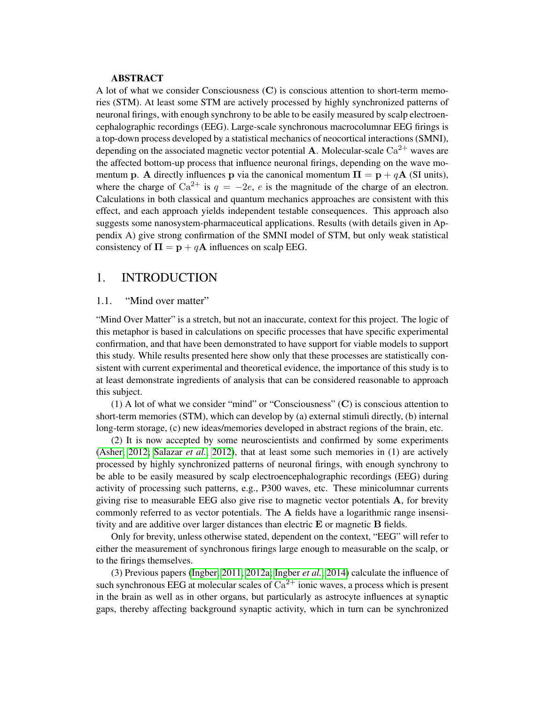# ABSTRACT

A lot of what we consider Consciousness (C) is conscious attention to short-term memories (STM). At least some STM are actively processed by highly synchronized patterns of neuronal firings, with enough synchrony to be able to be easily measured by scalp electroencephalographic recordings (EEG). Large-scale synchronous macrocolumnar EEG firings is a top-down process developed by a statistical mechanics of neocortical interactions (SMNI), depending on the associated magnetic vector potential A. Molecular-scale  $Ca^{2+}$  waves are the affected bottom-up process that influence neuronal firings, depending on the wave momentum p. A directly influences p via the canonical momentum  $\Pi = p + qA$  (SI units), where the charge of  $Ca^{2+}$  is  $q = -2e$ , e is the magnitude of the charge of an electron. Calculations in both classical and quantum mechanics approaches are consistent with this effect, and each approach yields independent testable consequences. This approach also suggests some nanosystem-pharmaceutical applications. Results (with details given in Appendix A) give strong confirmation of the SMNI model of STM, but only weak statistical consistency of  $\Pi = \mathbf{p} + q\mathbf{A}$  influences on scalp EEG.

# 1. INTRODUCTION

#### 1.1. "Mind over matter"

"Mind Over Matter" is a stretch, but not an inaccurate, context for this project. The logic of this metaphor is based in calculations on specific processes that have specific experimental confirmation, and that have been demonstrated to have support for viable models to support this study. While results presented here show only that these processes are statistically consistent with current experimental and theoretical evidence, the importance of this study is to at least demonstrate ingredients of analysis that can be considered reasonable to approach this subject.

(1) A lot of what we consider "mind" or "Consciousness" (C) is conscious attention to short-term memories (STM), which can develop by (a) external stimuli directly, (b) internal long-term storage, (c) new ideas/memories developed in abstract regions of the brain, etc.

(2) It is now accepted by some neuroscientists and confirmed by some experiments [\(Asher, 2012;](#page-25-0) [Salazar](#page-32-0) *et al.*, [2012\)](#page-32-0), that at least some such memories in (1) are actively processed by highly synchronized patterns of neuronal firings, with enough synchrony to be able to be easily measured by scalp electroencephalographic recordings (EEG) during activity of processing such patterns, e.g., P300 waves, etc. These minicolumnar currents giving rise to measurable EEG also give rise to magnetic vector potentials A, for brevity commonly referred to as vector potentials. The A fields have a logarithmic range insensitivity and are additive over larger distances than electric E or magnetic B fields.

Only for brevity, unless otherwise stated, dependent on the context, "EEG" will refer to either the measurement of synchronous firings large enough to measurable on the scalp, or to the firings themselves.

(3) Previous papers [\(Ingber, 2011,](#page-29-0) [2012a;](#page-29-1) [Ingber](#page-30-0) *et al.*, [2014\)](#page-30-0) calculate the influence of such synchronous EEG at molecular scales of  $Ca^{2+}$  ionic waves, a process which is present in the brain as well as in other organs, but particularly as astrocyte influences at synaptic gaps, thereby affecting background synaptic activity, which in turn can be synchronized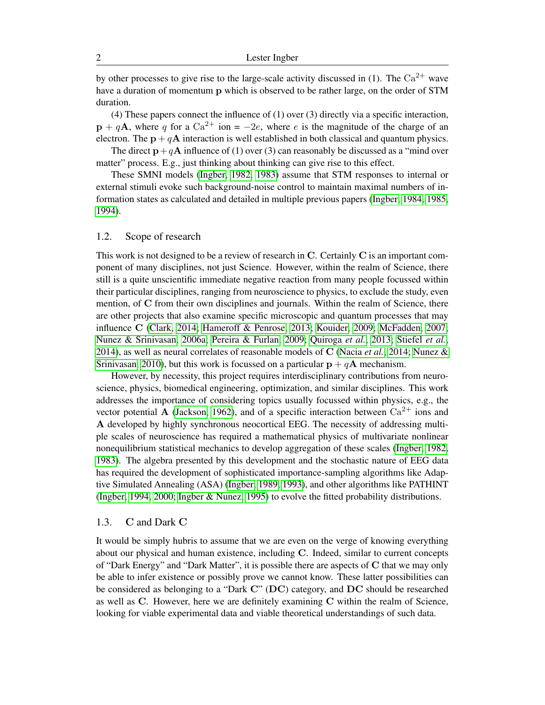by other processes to give rise to the large-scale activity discussed in (1). The  $Ca^{2+}$  wave have a duration of momentum p which is observed to be rather large, on the order of STM duration.

(4) These papers connect the influence of (1) over (3) directly via a specific interaction,  $p + qA$ , where q for a  $Ca^{2+}$  ion = -2e, where e is the magnitude of the charge of an electron. The  $p + qA$  interaction is well established in both classical and quantum physics.

The direct  $\mathbf{p}+q\mathbf{A}$  influence of (1) over (3) can reasonably be discussed as a "mind over matter" process. E.g., just thinking about thinking can give rise to this effect.

These SMNI models [\(Ingber, 1982,](#page-28-0) [1983\)](#page-28-1) assume that STM responses to internal or external stimuli evoke such background-noise control to maintain maximal numbers of information states as calculated and detailed in multiple previous papers [\(Ingber, 1984,](#page-28-2) [1985,](#page-28-3) [1994\)](#page-28-4).

#### 1.2. Scope of research

This work is not designed to be a review of research in C. Certainly C is an important component of many disciplines, not just Science. However, within the realm of Science, there still is a quite unscientific immediate negative reaction from many people focussed within their particular disciplines, ranging from neuroscience to physics, to exclude the study, even mention, of C from their own disciplines and journals. Within the realm of Science, there are other projects that also examine specific microscopic and quantum processes that may influence C [\(Clark, 2014;](#page-26-0) [Hameroff & Penrose, 2013;](#page-27-0) [Kouider, 2009;](#page-30-1) [McFadden, 2007;](#page-31-0) [Nunez & Srinivasan, 2006a;](#page-31-1) [Pereira & Furlan, 2009;](#page-32-1) [Quiroga](#page-32-2) *et al.*, [2013;](#page-32-2) [Stiefel](#page-33-0) *et al.*, [2014\)](#page-33-0), as well as neural correlates of reasonable models of C [\(Nacia](#page-31-2) *et al.*, [2014;](#page-31-2) [Nunez &](#page-32-3) [Srinivasan, 2010\)](#page-32-3), but this work is focussed on a particular  $p + qA$  mechanism.

However, by necessity, this project requires interdisciplinary contributions from neuroscience, physics, biomedical engineering, optimization, and similar disciplines. This work addresses the importance of considering topics usually focussed within physics, e.g., the vector potential A [\(Jackson, 1962\)](#page-30-2), and of a specific interaction between  $Ca^{2+}$  ions and A developed by highly synchronous neocortical EEG. The necessity of addressing multiple scales of neuroscience has required a mathematical physics of multivariate nonlinear nonequilibrium statistical mechanics to develop aggregation of these scales [\(Ingber, 1982,](#page-28-0) [1983\)](#page-28-1). The algebra presented by this development and the stochastic nature of EEG data has required the development of sophisticated importance-sampling algorithms like Adaptive Simulated Annealing (ASA) [\(Ingber, 1989,](#page-28-5) [1993\)](#page-28-6), and other algorithms like PATHINT [\(Ingber, 1994,](#page-28-4) [2000;](#page-29-2) [Ingber & Nunez, 1995\)](#page-29-3) to evolve the fitted probability distributions.

#### 1.3. C and Dark C

It would be simply hubris to assume that we are even on the verge of knowing everything about our physical and human existence, including C. Indeed, similar to current concepts of "Dark Energy" and "Dark Matter", it is possible there are aspects of C that we may only be able to infer existence or possibly prove we cannot know. These latter possibilities can be considered as belonging to a "Dark  $\mathbf{C}$ " (DC) category, and DC should be researched as well as C. However, here we are definitely examining C within the realm of Science, looking for viable experimental data and viable theoretical understandings of such data.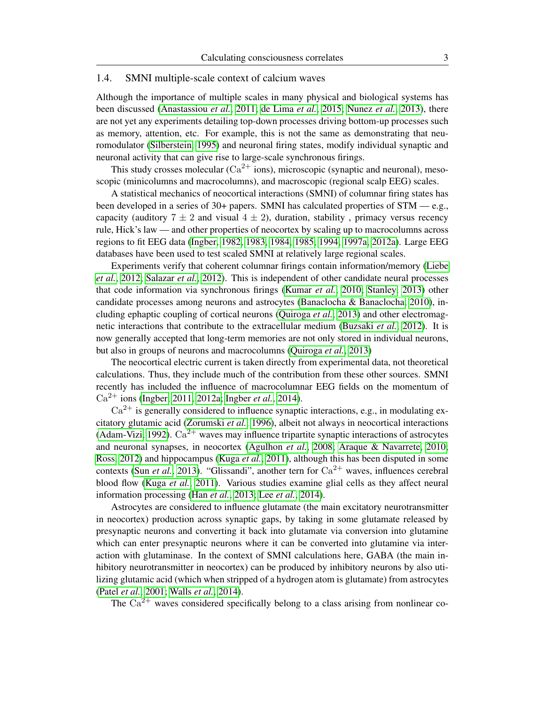# 1.4. SMNI multiple-scale context of calcium waves

Although the importance of multiple scales in many physical and biological systems has been discussed [\(Anastassiou](#page-25-1) *et al.*, [2011;](#page-25-1) [de Lima](#page-26-1) *et al.*, [2015;](#page-26-1) [Nunez](#page-32-4) *et al.*, [2013\)](#page-32-4), there are not yet any experiments detailing top-down processes driving bottom-up processes such as memory, attention, etc. For example, this is not the same as demonstrating that neuromodulator [\(Silberstein, 1995\)](#page-33-1) and neuronal firing states, modify individual synaptic and neuronal activity that can give rise to large-scale synchronous firings.

This study crosses molecular  $(Ca^{2+}$  ions), microscopic (synaptic and neuronal), mesoscopic (minicolumns and macrocolumns), and macroscopic (regional scalp EEG) scales.

A statistical mechanics of neocortical interactions (SMNI) of columnar firing states has been developed in a series of 30+ papers. SMNI has calculated properties of STM — e.g., capacity (auditory  $7 \pm 2$  and visual  $4 \pm 2$ ), duration, stability, primacy versus recency rule, Hick's law — and other properties of neocortex by scaling up to macrocolumns across regions to fit EEG data [\(Ingber, 1982,](#page-28-0) [1983,](#page-28-1) [1984,](#page-28-2) [1985,](#page-28-3) [1994,](#page-28-4) [1997a,](#page-28-7) [2012a\)](#page-29-1). Large EEG databases have been used to test scaled SMNI at relatively large regional scales.

Experiments verify that coherent columnar firings contain information/memory [\(Liebe](#page-31-3) *[et al.](#page-31-3)*, [2012;](#page-31-3) [Salazar](#page-32-0) *et al.*, [2012\)](#page-32-0). This is independent of other candidate neural processes that code information via synchronous firings [\(Kumar](#page-30-3) *et al.*, [2010;](#page-30-3) [Stanley, 2013\)](#page-33-2) other candidate processes among neurons and astrocytes [\(Banaclocha & Banaclocha, 2010\)](#page-25-2), including ephaptic coupling of cortical neurons [\(Quiroga](#page-32-2) *et al.*, [2013\)](#page-32-2) and other electromagnetic interactions that contribute to the extracellular medium [\(Buzsaki](#page-26-2) *et al.*, [2012\)](#page-26-2). It is now generally accepted that long-term memories are not only stored in individual neurons, but also in groups of neurons and macrocolumns [\(Quiroga](#page-32-2) *et al.*, [2013\)](#page-32-2)

The neocortical electric current is taken directly from experimental data, not theoretical calculations. Thus, they include much of the contribution from these other sources. SMNI recently has included the influence of macrocolumnar EEG fields on the momentum of Ca2+ ions [\(Ingber, 2011,](#page-29-0) [2012a;](#page-29-1) [Ingber](#page-30-0) *et al.*, [2014\)](#page-30-0).

 $Ca^{2+}$  is generally considered to influence synaptic interactions, e.g., in modulating excitatory glutamic acid [\(Zorumski](#page-34-0) *et al.*, [1996\)](#page-34-0), albeit not always in neocortical interactions [\(Adam-Vizi, 1992\)](#page-25-3).  $Ca^{2+}$  waves may influence tripartite synaptic interactions of astrocytes and neuronal synapses, in neocortex [\(Agulhon](#page-25-4) *et al.*, [2008;](#page-25-4) [Araque & Navarrete, 2010;](#page-25-5) [Ross, 2012\)](#page-32-5) and hippocampus [\(Kuga](#page-30-4) *et al.*, [2011\)](#page-30-4), although this has been disputed in some contexts (Sun *[et al.](#page-33-3)*, [2013\)](#page-33-3). "Glissandi", another tern for  $Ca^{2+}$  waves, influences cerebral blood flow [\(Kuga](#page-30-4) *et al.*, [2011\)](#page-30-4). Various studies examine glial cells as they affect neural information processing (Han *[et al.](#page-27-1)*, [2013;](#page-27-1) Lee *[et al.](#page-30-5)*, [2014\)](#page-30-5).

Astrocytes are considered to influence glutamate (the main excitatory neurotransmitter in neocortex) production across synaptic gaps, by taking in some glutamate released by presynaptic neurons and converting it back into glutamate via conversion into glutamine which can enter presynaptic neurons where it can be converted into glutamine via interaction with glutaminase. In the context of SMNI calculations here, GABA (the main inhibitory neurotransmitter in neocortex) can be produced by inhibitory neurons by also utilizing glutamic acid (which when stripped of a hydrogen atom is glutamate) from astrocytes [\(Patel](#page-32-6) *et al.*, [2001;](#page-32-6) [Walls](#page-33-4) *et al.*, [2014\)](#page-33-4).

The  $Ca^{2+}$  waves considered specifically belong to a class arising from nonlinear co-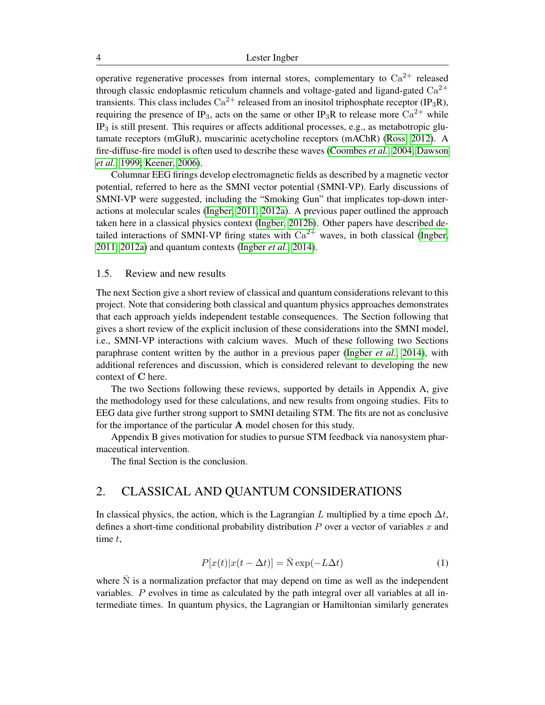operative regenerative processes from internal stores, complementary to  $Ca^{2+}$  released through classic endoplasmic reticulum channels and voltage-gated and ligand-gated  $Ca^{2+}$ transients. This class includes  $Ca^{2+}$  released from an inositol triphosphate receptor (IP<sub>3</sub>R), requiring the presence of IP<sub>3</sub>, acts on the same or other IP<sub>3</sub>R to release more  $Ca^{2+}$  while  $IP_3$  is still present. This requires or affects additional processes, e.g., as metabotropic glutamate receptors (mGluR), muscarinic acetycholine receptors (mAChR) [\(Ross, 2012\)](#page-32-5). A fire-diffuse-fire model is often used to describe these waves [\(Coombes](#page-26-3) *et al.*, [2004;](#page-26-3) [Dawson](#page-26-4) *[et al.](#page-26-4)*, [1999;](#page-26-4) [Keener, 2006\)](#page-30-6).

Columnar EEG firings develop electromagnetic fields as described by a magnetic vector potential, referred to here as the SMNI vector potential (SMNI-VP). Early discussions of SMNI-VP were suggested, including the "Smoking Gun" that implicates top-down interactions at molecular scales [\(Ingber, 2011,](#page-29-0) [2012a\)](#page-29-1). A previous paper outlined the approach taken here in a classical physics context [\(Ingber, 2012b\)](#page-29-4). Other papers have described detailed interactions of SMNI-VP firing states with  $Ca^{2+}$  waves, in both classical [\(Ingber,](#page-29-0) [2011,](#page-29-0) [2012a\)](#page-29-1) and quantum contexts [\(Ingber](#page-30-0) *et al.*, [2014\)](#page-30-0).

#### 1.5. Review and new results

The next Section give a short review of classical and quantum considerations relevant to this project. Note that considering both classical and quantum physics approaches demonstrates that each approach yields independent testable consequences. The Section following that gives a short review of the explicit inclusion of these considerations into the SMNI model, i.e., SMNI-VP interactions with calcium waves. Much of these following two Sections paraphrase content written by the author in a previous paper [\(Ingber](#page-30-0) *et al.*, [2014\)](#page-30-0), with additional references and discussion, which is considered relevant to developing the new context of C here.

The two Sections following these reviews, supported by details in Appendix A, give the methodology used for these calculations, and new results from ongoing studies. Fits to EEG data give further strong support to SMNI detailing STM. The fits are not as conclusive for the importance of the particular A model chosen for this study.

Appendix B gives motivation for studies to pursue STM feedback via nanosystem pharmaceutical intervention.

The final Section is the conclusion.

# 2. CLASSICAL AND QUANTUM CONSIDERATIONS

In classical physics, the action, which is the Lagrangian L multiplied by a time epoch  $\Delta t$ , defines a short-time conditional probability distribution  $P$  over a vector of variables  $x$  and time  $t$ ,

$$
P[x(t)|x(t - \Delta t)] = \bar{N} \exp(-L\Delta t)
$$
\n(1)

where  $N$  is a normalization prefactor that may depend on time as well as the independent variables. P evolves in time as calculated by the path integral over all variables at all intermediate times. In quantum physics, the Lagrangian or Hamiltonian similarly generates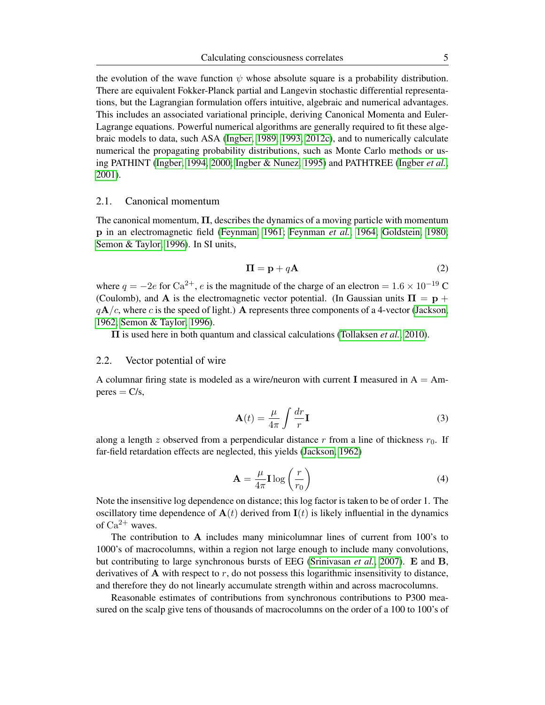the evolution of the wave function  $\psi$  whose absolute square is a probability distribution. There are equivalent Fokker-Planck partial and Langevin stochastic differential representations, but the Lagrangian formulation offers intuitive, algebraic and numerical advantages. This includes an associated variational principle, deriving Canonical Momenta and Euler-Lagrange equations. Powerful numerical algorithms are generally required to fit these algebraic models to data, such ASA [\(Ingber, 1989,](#page-28-5) [1993,](#page-28-6) [2012c\)](#page-29-5), and to numerically calculate numerical the propagating probability distributions, such as Monte Carlo methods or using PATHINT [\(Ingber, 1994,](#page-28-4) [2000;](#page-29-2) [Ingber & Nunez, 1995\)](#page-29-3) and PATHTREE [\(Ingber](#page-29-6) *et al.*, [2001\)](#page-29-6).

#### 2.1. Canonical momentum

The canonical momentum,  $\Pi$ , describes the dynamics of a moving particle with momentum p in an electromagnetic field [\(Feynman, 1961;](#page-27-2) [Feynman](#page-27-3) *et al.*, [1964;](#page-27-3) [Goldstein, 1980;](#page-27-4) [Semon & Taylor, 1996\)](#page-32-7). In SI units,

$$
\mathbf{\Pi} = \mathbf{p} + q\mathbf{A} \tag{2}
$$

where  $q = -2e$  for  $Ca^{2+}$ , e is the magnitude of the charge of an electron =  $1.6 \times 10^{-19}$  C (Coulomb), and A is the electromagnetic vector potential. (In Gaussian units  $\Pi = \mathbf{p} + \mathbf{p}$  $qA/c$ , where c is the speed of light.) A represents three components of a 4-vector [\(Jackson,](#page-30-2) [1962;](#page-30-2) [Semon & Taylor, 1996\)](#page-32-7).

Π is used here in both quantum and classical calculations [\(Tollaksen](#page-33-5) *et al.*, [2010\)](#page-33-5).

#### 2.2. Vector potential of wire

A columnar firing state is modeled as a wire/neuron with current I measured in  $A = Am$  $peres = C/s$ ,

$$
\mathbf{A}(t) = \frac{\mu}{4\pi} \int \frac{dr}{r} \mathbf{I}
$$
 (3)

along a length z observed from a perpendicular distance r from a line of thickness  $r_0$ . If far-field retardation effects are neglected, this yields [\(Jackson, 1962\)](#page-30-2)

$$
\mathbf{A} = \frac{\mu}{4\pi} \mathbf{I} \log \left( \frac{r}{r_0} \right) \tag{4}
$$

Note the insensitive log dependence on distance; this log factor is taken to be of order 1. The oscillatory time dependence of  $A(t)$  derived from  $I(t)$  is likely influential in the dynamics of  $Ca^{2+}$  waves.

The contribution to A includes many minicolumnar lines of current from 100's to 1000's of macrocolumns, within a region not large enough to include many convolutions, but contributing to large synchronous bursts of EEG [\(Srinivasan](#page-33-6) *et al.*, [2007\)](#page-33-6). E and B, derivatives of  $\bf{A}$  with respect to  $r$ , do not possess this logarithmic insensitivity to distance, and therefore they do not linearly accumulate strength within and across macrocolumns.

Reasonable estimates of contributions from synchronous contributions to P300 measured on the scalp give tens of thousands of macrocolumns on the order of a 100 to 100's of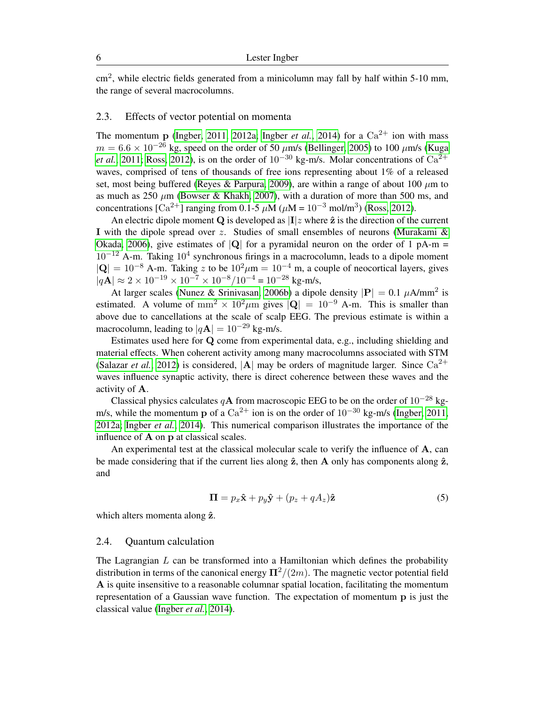cm<sup>2</sup>, while electric fields generated from a minicolumn may fall by half within 5-10 mm, the range of several macrocolumns.

# 2.3. Effects of vector potential on momenta

The momentum p [\(Ingber, 2011,](#page-29-0) [2012a;](#page-29-1) [Ingber](#page-30-0) *et al.*, [2014\)](#page-30-0) for a  $Ca^{2+}$  ion with mass  $m = 6.6 \times 10^{-26}$  kg, speed on the order of 50  $\mu$ m/s [\(Bellinger, 2005\)](#page-25-6) to 100  $\mu$ m/s [\(Kuga](#page-30-4) *[et al.](#page-30-4)*, [2011;](#page-30-4) [Ross, 2012\)](#page-32-5), is on the order of  $10^{-30}$  kg-m/s. Molar concentrations of  $Ca^{2+}$ waves, comprised of tens of thousands of free ions representing about 1% of a released set, most being buffered [\(Reyes & Parpura, 2009\)](#page-32-8), are within a range of about 100  $\mu$ m to as much as 250  $\mu$ m [\(Bowser & Khakh, 2007\)](#page-26-5), with a duration of more than 500 ms, and concentrations [Ca<sup>2+</sup>] ranging from 0.1-5  $\mu$ M ( $\mu$ M = 10<sup>-3</sup> mol/m<sup>3</sup>) [\(Ross, 2012\)](#page-32-5).

An electric dipole moment Q is developed as  $|I|z$  where  $\hat{z}$  is the direction of the current I with the dipole spread over z. Studies of small ensembles of neurons [\(Murakami &](#page-31-4) [Okada, 2006\)](#page-31-4), give estimates of  $|Q|$  for a pyramidal neuron on the order of 1 pA-m = 10<sup>-12</sup> A-m. Taking 10<sup>4</sup> synchronous firings in a macrocolumn, leads to a dipole moment  $|{\bf Q}| = 10^{-8}$  A-m. Taking z to be  $10^2 \mu m = 10^{-4}$  m, a couple of neocortical layers, gives  $|q\mathbf{A}| \approx 2 \times 10^{-19} \times 10^{-7} \times 10^{-8} / 10^{-4} = 10^{-28}$  kg-m/s,

At larger scales [\(Nunez & Srinivasan, 2006b\)](#page-31-5) a dipole density  $|P| = 0.1 \ \mu A/mm^2$  is estimated. A volume of mm<sup>2</sup> × 10<sup>2</sup> $\mu$ m gives  $|Q| = 10^{-9}$  A-m. This is smaller than above due to cancellations at the scale of scalp EEG. The previous estimate is within a macrocolumn, leading to  $|qA| = 10^{-29}$  kg-m/s.

Estimates used here for Q come from experimental data, e.g., including shielding and material effects. When coherent activity among many macrocolumns associated with STM [\(Salazar](#page-32-0) *et al.*, [2012\)](#page-32-0) is considered,  $|A|$  may be orders of magnitude larger. Since  $Ca^{2+}$ waves influence synaptic activity, there is direct coherence between these waves and the activity of A.

Classical physics calculates qA from macroscopic EEG to be on the order of  $10^{-28}$  kgm/s, while the momentum p of a  $Ca^{2+}$  ion is on the order of  $10^{-30}$  kg-m/s [\(Ingber, 2011,](#page-29-0) [2012a;](#page-29-1) [Ingber](#page-30-0) *et al.*, [2014\)](#page-30-0). This numerical comparison illustrates the importance of the influence of A on p at classical scales.

An experimental test at the classical molecular scale to verify the influence of  $A$ , can be made considering that if the current lies along  $\hat{z}$ , then A only has components along  $\hat{z}$ , and

$$
\mathbf{\Pi} = p_x \hat{\mathbf{x}} + p_y \hat{\mathbf{y}} + (p_z + qA_z)\hat{\mathbf{z}} \tag{5}
$$

which alters momenta along  $\hat{z}$ .

#### 2.4. Quantum calculation

The Lagrangian  $L$  can be transformed into a Hamiltonian which defines the probability distribution in terms of the canonical energy  $\mathbb{\Pi}^2/(2m)$ . The magnetic vector potential field A is quite insensitive to a reasonable columnar spatial location, facilitating the momentum representation of a Gaussian wave function. The expectation of momentum p is just the classical value [\(Ingber](#page-30-0) *et al.*, [2014\)](#page-30-0).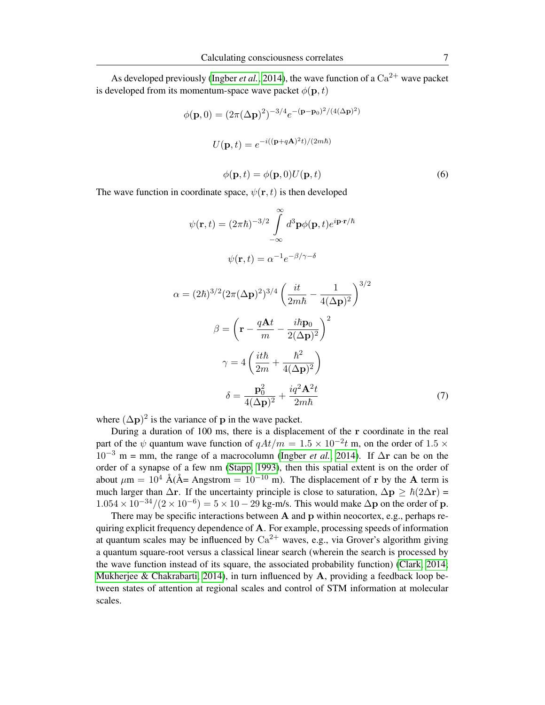As developed previously [\(Ingber](#page-30-0) *et al.*, [2014\)](#page-30-0), the wave function of a  $Ca^{2+}$  wave packet is developed from its momentum-space wave packet  $\phi(\mathbf{p}, t)$ 

$$
\phi(\mathbf{p}, 0) = (2\pi (\Delta \mathbf{p})^2)^{-3/4} e^{-(\mathbf{p} - \mathbf{p}_0)^2/(4(\Delta \mathbf{p})^2)}
$$

$$
U(\mathbf{p}, t) = e^{-i((\mathbf{p} + q\mathbf{A})^2 t)/(2m\hbar)}
$$

 $\phi(\mathbf{p}, t) = \phi(\mathbf{p}, 0)U(\mathbf{p}, t)$ (6)

The wave function in coordinate space,  $\psi(\mathbf{r}, t)$  is then developed

$$
\psi(\mathbf{r},t) = (2\pi\hbar)^{-3/2} \int_{-\infty}^{\infty} d^3 \mathbf{p} \phi(\mathbf{p},t) e^{i\mathbf{p}\cdot\mathbf{r}/\hbar}
$$

$$
\psi(\mathbf{r},t) = \alpha^{-1} e^{-\beta/\gamma - \delta}
$$

$$
\alpha = (2\hbar)^{3/2} (2\pi (\Delta \mathbf{p})^2)^{3/4} \left( \frac{it}{2m\hbar} - \frac{1}{4(\Delta \mathbf{p})^2} \right)^{3/2}
$$

$$
\beta = \left( \mathbf{r} - \frac{q\mathbf{A}t}{m} - \frac{i\hbar \mathbf{p}_0}{2(\Delta \mathbf{p})^2} \right)^2
$$

$$
\gamma = 4 \left( \frac{it\hbar}{2m} + \frac{\hbar^2}{4(\Delta \mathbf{p})^2} \right)
$$

$$
\delta = \frac{\mathbf{p}_0^2}{4(\Delta \mathbf{p})^2} + \frac{i q^2 \mathbf{A}^2 t}{2m\hbar} \tag{7}
$$

where  $(\Delta p)^2$  is the variance of p in the wave packet.

During a duration of 100 ms, there is a displacement of the r coordinate in the real part of the  $\psi$  quantum wave function of  $qAt/m = 1.5 \times 10^{-2}t$  m, on the order of 1.5  $\times$  $10^{-3}$  m = mm, the range of a macrocolumn [\(Ingber](#page-30-0) *et al.*, [2014\)](#page-30-0). If  $\Delta$ **r** can be on the order of a synapse of a few nm [\(Stapp, 1993\)](#page-33-7), then this spatial extent is on the order of about  $\mu$ m = 10<sup>4</sup> Å(Å= Angstrom = 10<sup>-10</sup> m). The displacement of r by the A term is much larger than  $\Delta$ r. If the uncertainty principle is close to saturation,  $\Delta$ **p** >  $\hbar(2\Delta$ **r**) =  $1.054 \times 10^{-34} / (2 \times 10^{-6}) = 5 \times 10 - 29$  kg-m/s. This would make  $\Delta p$  on the order of p.

There may be specific interactions between  $A$  and  $p$  within neocortex, e.g., perhaps requiring explicit frequency dependence of A. For example, processing speeds of information at quantum scales may be influenced by  $Ca^{2+}$  waves, e.g., via Grover's algorithm giving a quantum square-root versus a classical linear search (wherein the search is processed by the wave function instead of its square, the associated probability function) [\(Clark, 2014;](#page-26-0) [Mukherjee & Chakrabarti, 2014\)](#page-31-6), in turn influenced by  $A$ , providing a feedback loop between states of attention at regional scales and control of STM information at molecular scales.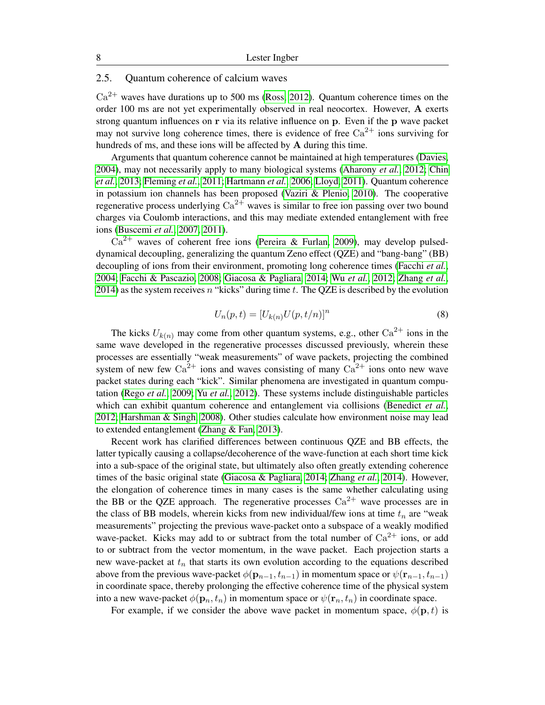## 2.5. Quantum coherence of calcium waves

 $Ca^{2+}$  waves have durations up to 500 ms [\(Ross, 2012\)](#page-32-5). Quantum coherence times on the order 100 ms are not yet experimentally observed in real neocortex. However, A exerts strong quantum influences on r via its relative influence on p. Even if the p wave packet may not survive long coherence times, there is evidence of free  $Ca^{2+}$  ions surviving for hundreds of ms, and these ions will be affected by A during this time.

Arguments that quantum coherence cannot be maintained at high temperatures [\(Davies,](#page-26-6) [2004\)](#page-26-6), may not necessarily apply to many biological systems [\(Aharony](#page-25-7) *et al.*, [2012;](#page-25-7) [Chin](#page-26-7) *[et al.](#page-26-7)*, [2013;](#page-26-7) [Fleming](#page-27-5) *et al.*, [2011;](#page-27-5) [Hartmann](#page-27-6) *et al.*, [2006;](#page-27-6) [Lloyd, 2011\)](#page-31-7). Quantum coherence in potassium ion channels has been proposed [\(Vaziri & Plenio, 2010\)](#page-33-8). The cooperative regenerative process underlying  $Ca^{2+}$  waves is similar to free ion passing over two bound charges via Coulomb interactions, and this may mediate extended entanglement with free ions [\(Buscemi](#page-26-8) *et al.*, [2007,](#page-26-8) [2011\)](#page-26-9).

 $Ca^{2+}$  waves of coherent free ions [\(Pereira & Furlan, 2009\)](#page-32-1), may develop pulseddynamical decoupling, generalizing the quantum Zeno effect (QZE) and "bang-bang" (BB) decoupling of ions from their environment, promoting long coherence times [\(Facchi](#page-27-7) *et al.*, [2004;](#page-27-7) [Facchi & Pascazio, 2008;](#page-27-8) [Giacosa & Pagliara, 2014;](#page-27-9) Wu *[et al.](#page-34-1)*, [2012;](#page-34-1) [Zhang](#page-34-2) *et al.*, [2014\)](#page-34-2) as the system receives n "kicks" during time t. The QZE is described by the evolution

$$
U_n(p,t) = [U_{k(n)}U(p,t/n)]^n
$$
 (8)

The kicks  $U_{k(n)}$  may come from other quantum systems, e.g., other  $Ca^{2+}$  ions in the same wave developed in the regenerative processes discussed previously, wherein these processes are essentially "weak measurements" of wave packets, projecting the combined system of new few  $Ca^{2+}$  ions and waves consisting of many  $Ca^{2+}$  ions onto new wave packet states during each "kick". Similar phenomena are investigated in quantum computation [\(Rego](#page-32-9) *et al.*, [2009;](#page-32-9) Yu *[et al.](#page-34-3)*, [2012\)](#page-34-3). These systems include distinguishable particles which can exhibit quantum coherence and entanglement via collisions [\(Benedict](#page-26-10) *et al.*, [2012;](#page-26-10) [Harshman & Singh, 2008\)](#page-27-10). Other studies calculate how environment noise may lead to extended entanglement [\(Zhang & Fan, 2013\)](#page-34-4).

Recent work has clarified differences between continuous QZE and BB effects, the latter typically causing a collapse/decoherence of the wave-function at each short time kick into a sub-space of the original state, but ultimately also often greatly extending coherence times of the basic original state [\(Giacosa & Pagliara, 2014;](#page-27-9) [Zhang](#page-34-2) *et al.*, [2014\)](#page-34-2). However, the elongation of coherence times in many cases is the same whether calculating using the BB or the QZE approach. The regenerative processes  $Ca^{2+}$  wave processes are in the class of BB models, wherein kicks from new individual/few ions at time  $t_n$  are "weak" measurements" projecting the previous wave-packet onto a subspace of a weakly modified wave-packet. Kicks may add to or subtract from the total number of  $Ca^{2+}$  ions, or add to or subtract from the vector momentum, in the wave packet. Each projection starts a new wave-packet at  $t_n$  that starts its own evolution according to the equations described above from the previous wave-packet  $\phi(\mathbf{p}_{n-1}, t_{n-1})$  in momentum space or  $\psi(\mathbf{r}_{n-1}, t_{n-1})$ in coordinate space, thereby prolonging the effective coherence time of the physical system into a new wave-packet  $\phi(\mathbf{p}_n, t_n)$  in momentum space or  $\psi(\mathbf{r}_n, t_n)$  in coordinate space.

For example, if we consider the above wave packet in momentum space,  $\phi(\mathbf{p}, t)$  is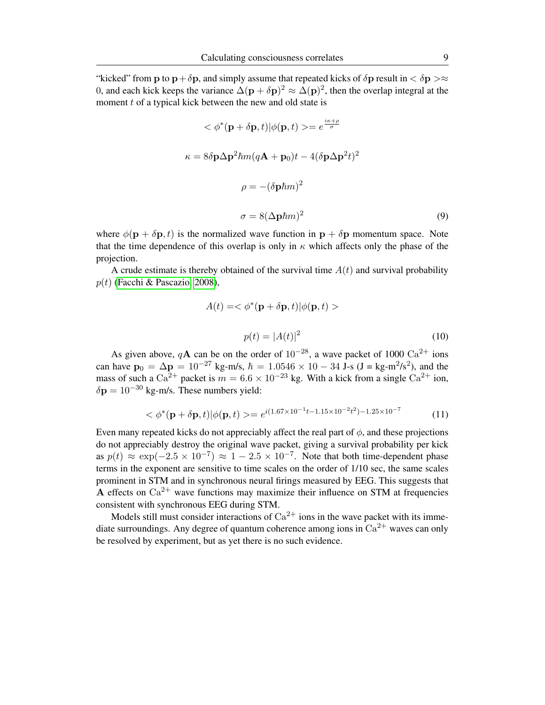"kicked" from p to  $p + \delta p$ , and simply assume that repeated kicks of  $\delta p$  result in  $\langle \delta p \rangle \approx$ 0, and each kick keeps the variance  $\Delta(\mathbf{p} + \delta \mathbf{p})^2 \approx \Delta(\mathbf{p})^2$ , then the overlap integral at the moment  $t$  of a typical kick between the new and old state is

$$
\langle \phi^*(\mathbf{p} + \delta \mathbf{p}, t) | \phi(\mathbf{p}, t) \rangle = e^{\frac{i\kappa + \rho}{\sigma}}
$$

$$
\kappa = 8\delta \mathbf{p} \Delta \mathbf{p}^2 \hbar m (q\mathbf{A} + \mathbf{p}_0) t - 4(\delta \mathbf{p} \Delta \mathbf{p}^2 t)^2
$$

$$
\rho = -(\delta \mathbf{p} \hbar m)^2
$$

$$
\sigma = 8(\Delta \mathbf{p} \hbar m)^2
$$
(9)

iκ $+$ ρ

where  $\phi(\mathbf{p} + \delta \mathbf{p}, t)$  is the normalized wave function in  $\mathbf{p} + \delta \mathbf{p}$  momentum space. Note that the time dependence of this overlap is only in  $\kappa$  which affects only the phase of the projection.

A crude estimate is thereby obtained of the survival time  $A(t)$  and survival probability  $p(t)$  [\(Facchi & Pascazio, 2008\)](#page-27-8),

$$
A(t) = \langle \phi^*(\mathbf{p} + \delta \mathbf{p}, t) | \phi(\mathbf{p}, t) \rangle
$$

$$
p(t) = |A(t)|^2
$$
(10)

As given above, qA can be on the order of  $10^{-28}$ , a wave packet of 1000 Ca<sup>2+</sup> ions can have  $\mathbf{p}_0 = \Delta \mathbf{p} = 10^{-27}$  kg-m/s,  $\hbar = 1.0546 \times 10 - 34$  J-s (J = kg-m<sup>2</sup>/s<sup>2</sup>), and the mass of such a  $Ca^{2+}$  packet is  $m = 6.6 \times 10^{-23}$  kg. With a kick from a single  $Ca^{2+}$  ion,  $\delta \mathbf{p} = 10^{-30}$  kg-m/s. These numbers yield:

$$
\langle \phi^*(\mathbf{p} + \delta \mathbf{p}, t) | \phi(\mathbf{p}, t) \rangle = e^{i(1.67 \times 10^{-1} t - 1.15 \times 10^{-2} t^2) - 1.25 \times 10^{-7}} \tag{11}
$$

Even many repeated kicks do not appreciably affect the real part of  $\phi$ , and these projections do not appreciably destroy the original wave packet, giving a survival probability per kick as  $p(t) \approx \exp(-2.5 \times 10^{-7}) \approx 1 - 2.5 \times 10^{-7}$ . Note that both time-dependent phase terms in the exponent are sensitive to time scales on the order of 1/10 sec, the same scales prominent in STM and in synchronous neural firings measured by EEG. This suggests that A effects on  $Ca^{2+}$  wave functions may maximize their influence on STM at frequencies consistent with synchronous EEG during STM.

Models still must consider interactions of  $Ca^{2+}$  ions in the wave packet with its immediate surroundings. Any degree of quantum coherence among ions in  $Ca^{2+}$  waves can only be resolved by experiment, but as yet there is no such evidence.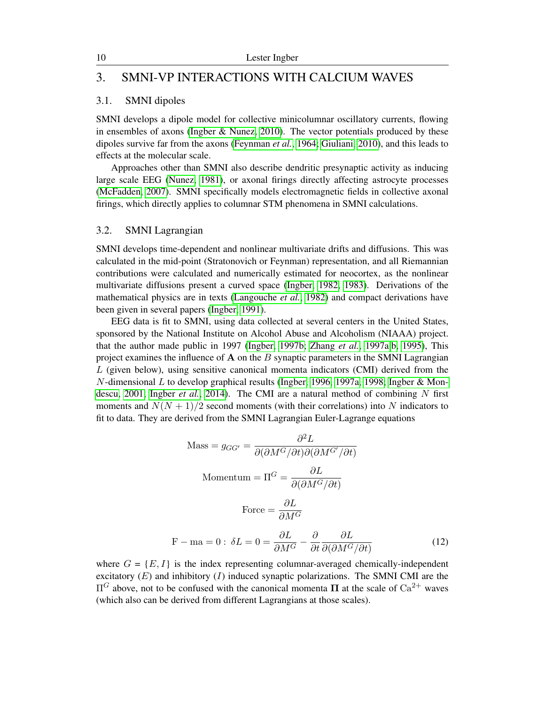# 3. SMNI-VP INTERACTIONS WITH CALCIUM WAVES

#### 3.1. SMNI dipoles

SMNI develops a dipole model for collective minicolumnar oscillatory currents, flowing in ensembles of axons [\(Ingber & Nunez, 2010\)](#page-30-7). The vector potentials produced by these dipoles survive far from the axons [\(Feynman](#page-27-3) *et al.*, [1964;](#page-27-3) [Giuliani, 2010\)](#page-27-11), and this leads to effects at the molecular scale.

Approaches other than SMNI also describe dendritic presynaptic activity as inducing large scale EEG [\(Nunez, 1981\)](#page-31-8), or axonal firings directly affecting astrocyte processes [\(McFadden, 2007\)](#page-31-0). SMNI specifically models electromagnetic fields in collective axonal firings, which directly applies to columnar STM phenomena in SMNI calculations.

# 3.2. SMNI Lagrangian

SMNI develops time-dependent and nonlinear multivariate drifts and diffusions. This was calculated in the mid-point (Stratonovich or Feynman) representation, and all Riemannian contributions were calculated and numerically estimated for neocortex, as the nonlinear multivariate diffusions present a curved space [\(Ingber, 1982,](#page-28-0) [1983\)](#page-28-1). Derivations of the mathematical physics are in texts [\(Langouche](#page-30-8) *et al.*, [1982\)](#page-30-8) and compact derivations have been given in several papers [\(Ingber, 1991\)](#page-28-8).

EEG data is fit to SMNI, using data collected at several centers in the United States, sponsored by the National Institute on Alcohol Abuse and Alcoholism (NIAAA) project. that the author made public in 1997 [\(Ingber, 1997b;](#page-29-7) [Zhang](#page-34-5) *et al.*, [1997a,](#page-34-5)[b,](#page-34-6) [1995\)](#page-34-7), This project examines the influence of  $A$  on the  $B$  synaptic parameters in the SMNI Lagrangian  $L$  (given below), using sensitive canonical momenta indicators (CMI) derived from the N-dimensional L to develop graphical results [\(Ingber, 1996,](#page-28-9) [1997a,](#page-28-7) [1998;](#page-29-8) [Ingber & Mon](#page-29-9)[descu, 2001;](#page-29-9) [Ingber](#page-30-0) *et al.*, [2014\)](#page-30-0). The CMI are a natural method of combining N first moments and  $N(N + 1)/2$  second moments (with their correlations) into N indicators to fit to data. They are derived from the SMNI Lagrangian Euler-Lagrange equations

$$
\text{Mass} = g_{GG'} = \frac{\partial^2 L}{\partial(\partial M^G/\partial t)\partial(\partial M^{G'}/\partial t)}
$$
\n
$$
\text{Momentum} = \Pi^G = \frac{\partial L}{\partial(\partial M^G/\partial t)}
$$
\n
$$
\text{Force} = \frac{\partial L}{\partial M^G}
$$
\n
$$
\text{F} - \text{ma} = 0: \ \delta L = 0 = \frac{\partial L}{\partial M^G} - \frac{\partial}{\partial t} \frac{\partial L}{\partial(\partial M^G/\partial t)}
$$
\n(12)

where  $G = \{E, I\}$  is the index representing columnar-averaged chemically-independent excitatory  $(E)$  and inhibitory  $(I)$  induced synaptic polarizations. The SMNI CMI are the  $\Pi$ <sup>G</sup> above, not to be confused with the canonical momenta **Π** at the scale of Ca<sup>2+</sup> waves (which also can be derived from different Lagrangians at those scales).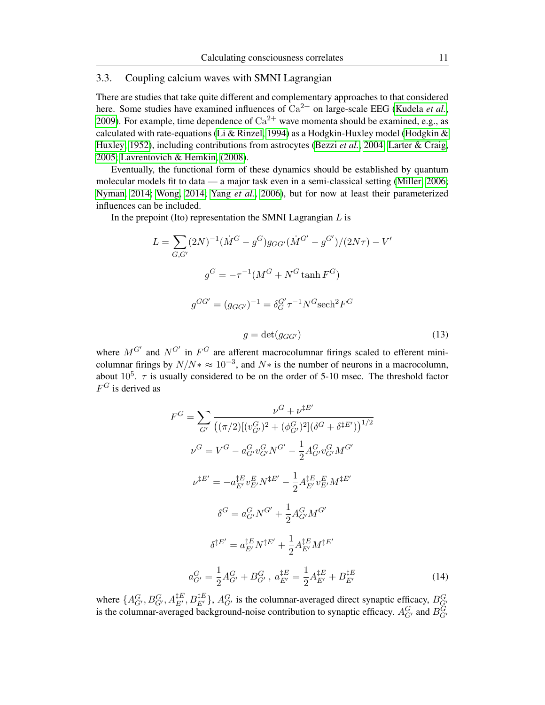# 3.3. Coupling calcium waves with SMNI Lagrangian

There are studies that take quite different and complementary approaches to that considered here. Some studies have examined influences of Ca<sup>2+</sup> on large-scale EEG [\(Kudela](#page-30-9) *et al.*, [2009\)](#page-30-9). For example, time dependence of  $Ca^{2+}$  wave momenta should be examined, e.g., as calculated with rate-equations [\(Li & Rinzel, 1994\)](#page-30-10) as a Hodgkin-Huxley model [\(Hodgkin &](#page-28-10) [Huxley, 1952\)](#page-28-10), including contributions from astrocytes [\(Bezzi](#page-26-11) *et al.*, [2004;](#page-26-11) [Larter & Craig,](#page-30-11) [2005;](#page-30-11) [Lavrentovich & Hemkin, \(2008\)](#page-30-12).

Eventually, the functional form of these dynamics should be established by quantum molecular models fit to data — a major task even in a semi-classical setting [\(Miller, 2006;](#page-31-9) [Nyman, 2014;](#page-32-10) [Wong, 2014;](#page-34-8) [Yang](#page-34-9) *et al.*, [2006\)](#page-34-9), but for now at least their parameterized influences can be included.

In the prepoint (Ito) representation the SMNI Lagrangian  $L$  is

$$
L = \sum_{G,G'} (2N)^{-1} (\dot{M}^G - g^G) g_{GG'} (\dot{M}^{G'} - g^{G'}) / (2N\tau) - V'
$$
  

$$
g^G = -\tau^{-1} (M^G + N^G \tanh F^G)
$$
  

$$
g^{GG'} = (g_{GG'})^{-1} = \delta_G^{G'} \tau^{-1} N^G \text{sech}^2 F^G
$$
  

$$
g = \det(g_{GG'}) \tag{13}
$$

where  $M^{G'}$  and  $N^{G'}$  in  $F^G$  are afferent macrocolumnar firings scaled to efferent minicolumnar firings by  $N/N^* \approx 10^{-3}$ , and  $N^*$  is the number of neurons in a macrocolumn, about 10<sup>5</sup>.  $\tau$  is usually considered to be on the order of 5-10 msec. The threshold factor  $F^G$  is derived as

$$
F^{G} = \sum_{G'} \frac{\nu^{G} + \nu^{\ddagger E'}}{((\pi/2)[(v_{G'}^{G})^{2} + (\phi_{G'}^{G})^{2}](\delta^{G} + \delta^{\ddagger E'}))^{1/2}}
$$
  
\n
$$
\nu^{G} = V^{G} - a_{G'}^{G} v_{G'}^{G} N^{G'} - \frac{1}{2} A_{G'}^{G} v_{G'}^{G} M^{G'}
$$
  
\n
$$
\nu^{\ddagger E'} = -a_{E'}^{\ddagger E} v_{E'}^{E} N^{\ddagger E'} - \frac{1}{2} A_{E'}^{\ddagger E} v_{E'}^{E} M^{\ddagger E'}
$$
  
\n
$$
\delta^{G} = a_{G'}^{G} N^{G'} + \frac{1}{2} A_{G'}^{G} M^{G'}
$$
  
\n
$$
\delta^{\ddagger E'} = a_{E'}^{\ddagger E} N^{\ddagger E'} + \frac{1}{2} A_{E'}^{\ddagger E} M^{\ddagger E'}
$$
  
\n
$$
a_{G'}^{G} = \frac{1}{2} A_{G'}^{G} + B_{G'}^{G}, \ a_{E'}^{\ddagger E} = \frac{1}{2} A_{E'}^{\ddagger E} + B_{E'}^{\ddagger E}
$$
(14)

where  $\{A_{G'}^G, B_{G'}^G, A_{E'}^{tE}, B_{E'}^{tE}\}$ ,  $A_{G'}^G$  is the columnar-averaged direct synaptic efficacy,  $B_{G'}^G$  is the columnar-averaged background-noise contribution to synaptic efficacy.  $A_{G'}^G$  and  $B_{G'}^G$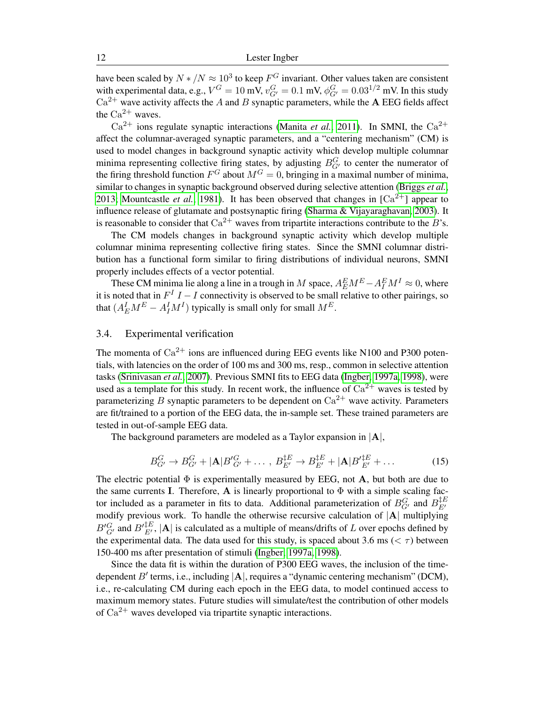have been scaled by  $N*/N \approx 10^3$  to keep  $F^G$  invariant. Other values taken are consistent with experimental data, e.g.,  $V^G = 10$  mV,  $v_{G'}^G = 0.1$  mV,  $\phi_{G'}^G = 0.03^{1/2}$  mV. In this study  $Ca^{2+}$  wave activity affects the A and B synaptic parameters, while the A EEG fields affect the  $Ca^{2+}$  waves.

 $Ca^{2+}$  ions regulate synaptic interactions [\(Manita](#page-31-10) *et al.*, [2011\)](#page-31-10). In SMNI, the  $Ca^{2+}$ affect the columnar-averaged synaptic parameters, and a "centering mechanism" (CM) is used to model changes in background synaptic activity which develop multiple columnar minima representing collective firing states, by adjusting  $B_{G'}^G$  to center the numerator of the firing threshold function  $F^G$  about  $M^G = 0$ , bringing in a maximal number of minima, similar to changes in synaptic background observed during selective attention [\(Briggs](#page-26-12) *et al.*, [2013;](#page-26-12) [Mountcastle](#page-31-11) *et al.*, [1981\)](#page-31-11). It has been observed that changes in  ${[Ca^{2+}]}$  appear to influence release of glutamate and postsynaptic firing [\(Sharma & Vijayaraghavan, 2003\)](#page-32-11). It is reasonable to consider that  $Ca^{2+}$  waves from tripartite interactions contribute to the B's.

The CM models changes in background synaptic activity which develop multiple columnar minima representing collective firing states. Since the SMNI columnar distribution has a functional form similar to firing distributions of individual neurons, SMNI properly includes effects of a vector potential.

These CM minima lie along a line in a trough in  $M$  space,  $A_E^E M^E - A_I^E M^I \approx 0$ , where it is noted that in  $F^I I - I$  connectivity is observed to be small relative to other pairings, so that  $(A_E^I M^E - A_I^I M^I)$  typically is small only for small  $M^E$ .

#### 3.4. Experimental verification

The momenta of  $Ca^{2+}$  ions are influenced during EEG events like N100 and P300 potentials, with latencies on the order of 100 ms and 300 ms, resp., common in selective attention tasks [\(Srinivasan](#page-33-6) *et al.*, [2007\)](#page-33-6). Previous SMNI fits to EEG data [\(Ingber, 1997a,](#page-28-7) [1998\)](#page-29-8), were used as a template for this study. In recent work, the influence of  $Ca^{2+}$  waves is tested by parameterizing B synaptic parameters to be dependent on  $Ca^{2+}$  wave activity. Parameters are fit/trained to a portion of the EEG data, the in-sample set. These trained parameters are tested in out-of-sample EEG data.

The background parameters are modeled as a Taylor expansion in  $|{\bf A}|$ ,

$$
B_{G'}^{G} \to B_{G'}^{G} + |\mathbf{A}| B'_{G'}^{G} + \dots, B_{E'}^{\dagger E} \to B_{E'}^{\dagger E} + |\mathbf{A}| B'_{E'}^{\dagger E} + \dots
$$
 (15)

The electric potential  $\Phi$  is experimentally measured by EEG, not A, but both are due to the same currents I. Therefore, A is linearly proportional to  $\Phi$  with a simple scaling factor included as a parameter in fits to data. Additional parameterization of  $B_{G'}^G$  and  $B_{E'}^{\dagger E}$  $E^{\prime}$ modify previous work. To handle the otherwise recursive calculation of |A| multiplying  $B'_{G'}^G$  and  $B'^{\dagger E}_{E'}$ ,  $|A|$  is calculated as a multiple of means/drifts of L over epochs defined by the experimental data. The data used for this study, is spaced about 3.6 ms ( $\lt \tau$ ) between 150-400 ms after presentation of stimuli [\(Ingber, 1997a,](#page-28-7) [1998\)](#page-29-8).

Since the data fit is within the duration of P300 EEG waves, the inclusion of the timedependent B' terms, i.e., including  $|A|$ , requires a "dynamic centering mechanism" (DCM), i.e., re-calculating CM during each epoch in the EEG data, to model continued access to maximum memory states. Future studies will simulate/test the contribution of other models of  $Ca^{2+}$  waves developed via tripartite synaptic interactions.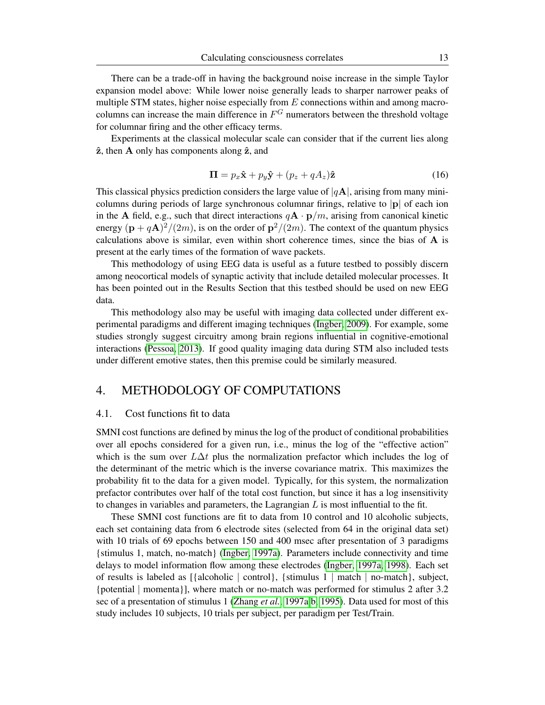There can be a trade-off in having the background noise increase in the simple Taylor expansion model above: While lower noise generally leads to sharper narrower peaks of multiple STM states, higher noise especially from  $E$  connections within and among macrocolumns can increase the main difference in  $F^G$  numerators between the threshold voltage for columnar firing and the other efficacy terms.

Experiments at the classical molecular scale can consider that if the current lies along  $\hat{z}$ , then A only has components along  $\hat{z}$ , and

$$
\mathbf{\Pi} = p_x \hat{\mathbf{x}} + p_y \hat{\mathbf{y}} + (p_z + qA_z)\hat{\mathbf{z}} \tag{16}
$$

This classical physics prediction considers the large value of  $|qA|$ , arising from many minicolumns during periods of large synchronous columnar firings, relative to  $|p|$  of each ion in the A field, e.g., such that direct interactions  $qA \cdot p/m$ , arising from canonical kinetic energy  $(\mathbf{p} + q\mathbf{A})^2/(2m)$ , is on the order of  $\mathbf{p}^2/(2m)$ . The context of the quantum physics calculations above is similar, even within short coherence times, since the bias of A is present at the early times of the formation of wave packets.

This methodology of using EEG data is useful as a future testbed to possibly discern among neocortical models of synaptic activity that include detailed molecular processes. It has been pointed out in the Results Section that this testbed should be used on new EEG data.

This methodology also may be useful with imaging data collected under different experimental paradigms and different imaging techniques [\(Ingber, 2009\)](#page-29-10). For example, some studies strongly suggest circuitry among brain regions influential in cognitive-emotional interactions [\(Pessoa, 2013\)](#page-32-12). If good quality imaging data during STM also included tests under different emotive states, then this premise could be similarly measured.

# 4. METHODOLOGY OF COMPUTATIONS

#### 4.1. Cost functions fit to data

SMNI cost functions are defined by minus the log of the product of conditional probabilities over all epochs considered for a given run, i.e., minus the log of the "effective action" which is the sum over  $L\Delta t$  plus the normalization prefactor which includes the log of the determinant of the metric which is the inverse covariance matrix. This maximizes the probability fit to the data for a given model. Typically, for this system, the normalization prefactor contributes over half of the total cost function, but since it has a log insensitivity to changes in variables and parameters, the Lagrangian  $L$  is most influential to the fit.

These SMNI cost functions are fit to data from 10 control and 10 alcoholic subjects, each set containing data from 6 electrode sites (selected from 64 in the original data set) with 10 trials of 69 epochs between 150 and 400 msec after presentation of 3 paradigms {stimulus 1, match, no-match} [\(Ingber, 1997a\)](#page-28-7). Parameters include connectivity and time delays to model information flow among these electrodes [\(Ingber, 1997a,](#page-28-7) [1998\)](#page-29-8). Each set of results is labeled as [{alcoholic | control}, {stimulus 1 | match | no-match}, subject, {potential | momenta}], where match or no-match was performed for stimulus 2 after 3.2 sec of a presentation of stimulus 1 [\(Zhang](#page-34-5) *et al.*, [1997a,](#page-34-5)[b,](#page-34-6) [1995\)](#page-34-7). Data used for most of this study includes 10 subjects, 10 trials per subject, per paradigm per Test/Train.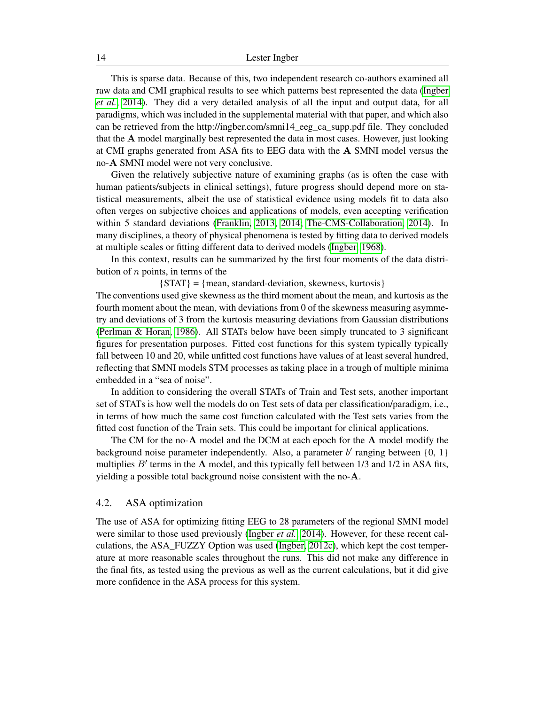This is sparse data. Because of this, two independent research co-authors examined all raw data and CMI graphical results to see which patterns best represented the data [\(Ingber](#page-30-0) *[et al.](#page-30-0)*, [2014\)](#page-30-0). They did a very detailed analysis of all the input and output data, for all paradigms, which was included in the supplemental material with that paper, and which also can be retrieved from the http://ingber.com/smni14\_eeg\_ca\_supp.pdf file. They concluded that the A model marginally best represented the data in most cases. However, just looking at CMI graphs generated from ASA fits to EEG data with the A SMNI model versus the no-A SMNI model were not very conclusive.

Given the relatively subjective nature of examining graphs (as is often the case with human patients/subjects in clinical settings), future progress should depend more on statistical measurements, albeit the use of statistical evidence using models fit to data also often verges on subjective choices and applications of models, even accepting verification within 5 standard deviations [\(Franklin, 2013,](#page-27-12) [2014;](#page-27-13) [The-CMS-Collaboration, 2014\)](#page-33-9). In many disciplines, a theory of physical phenomena is tested by fitting data to derived models at multiple scales or fitting different data to derived models [\(Ingber, 1968\)](#page-28-11).

In this context, results can be summarized by the first four moments of the data distribution of  $n$  points, in terms of the

 ${STAT} = {mean, standard-deviation, skewness, kurtosis}$ 

The conventions used give skewness as the third moment about the mean, and kurtosis as the fourth moment about the mean, with deviations from 0 of the skewness measuring asymmetry and deviations of 3 from the kurtosis measuring deviations from Gaussian distributions [\(Perlman & Horan, 1986\)](#page-32-13). All STATs below have been simply truncated to 3 significant figures for presentation purposes. Fitted cost functions for this system typically typically fall between 10 and 20, while unfitted cost functions have values of at least several hundred, reflecting that SMNI models STM processes as taking place in a trough of multiple minima embedded in a "sea of noise".

In addition to considering the overall STATs of Train and Test sets, another important set of STATs is how well the models do on Test sets of data per classification/paradigm, i.e., in terms of how much the same cost function calculated with the Test sets varies from the fitted cost function of the Train sets. This could be important for clinical applications.

The CM for the no-A model and the DCM at each epoch for the A model modify the background noise parameter independently. Also, a parameter  $b'$  ranging between  $\{0, 1\}$ multiplies  $B'$  terms in the A model, and this typically fell between  $1/3$  and  $1/2$  in ASA fits, yielding a possible total background noise consistent with the no-A.

#### 4.2. ASA optimization

The use of ASA for optimizing fitting EEG to 28 parameters of the regional SMNI model were similar to those used previously [\(Ingber](#page-30-0) *et al.*, [2014\)](#page-30-0). However, for these recent cal-culations, the ASA\_FUZZY Option was used [\(Ingber, 2012c\)](#page-29-5), which kept the cost temperature at more reasonable scales throughout the runs. This did not make any difference in the final fits, as tested using the previous as well as the current calculations, but it did give more confidence in the ASA process for this system.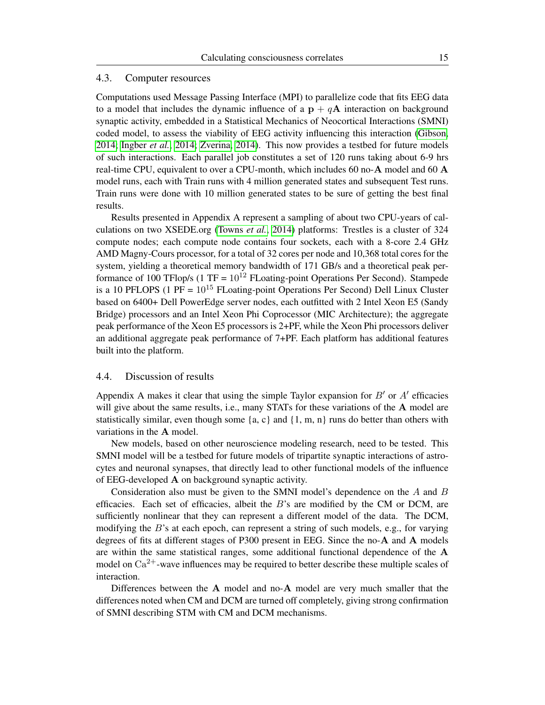# 4.3. Computer resources

Computations used Message Passing Interface (MPI) to parallelize code that fits EEG data to a model that includes the dynamic influence of a  $p + qA$  interaction on background synaptic activity, embedded in a Statistical Mechanics of Neocortical Interactions (SMNI) coded model, to assess the viability of EEG activity influencing this interaction [\(Gibson,](#page-27-14) [2014;](#page-27-14) [Ingber](#page-30-0) *et al.*, [2014;](#page-30-0) [Zverina, 2014\)](#page-34-10). This now provides a testbed for future models of such interactions. Each parallel job constitutes a set of 120 runs taking about 6-9 hrs real-time CPU, equivalent to over a CPU-month, which includes 60 no- $\bf{A}$  model and 60  $\bf{A}$ model runs, each with Train runs with 4 million generated states and subsequent Test runs. Train runs were done with 10 million generated states to be sure of getting the best final results.

Results presented in Appendix A represent a sampling of about two CPU-years of calculations on two XSEDE.org [\(Towns](#page-33-10) *et al.*, [2014\)](#page-33-10) platforms: Trestles is a cluster of 324 compute nodes; each compute node contains four sockets, each with a 8-core 2.4 GHz AMD Magny-Cours processor, for a total of 32 cores per node and 10,368 total cores for the system, yielding a theoretical memory bandwidth of 171 GB/s and a theoretical peak performance of 100 TFlop/s (1 TF =  $10^{12}$  FLoating-point Operations Per Second). Stampede is a 10 PFLOPS (1 PF =  $10^{15}$  FLoating-point Operations Per Second) Dell Linux Cluster based on 6400+ Dell PowerEdge server nodes, each outfitted with 2 Intel Xeon E5 (Sandy Bridge) processors and an Intel Xeon Phi Coprocessor (MIC Architecture); the aggregate peak performance of the Xeon E5 processors is 2+PF, while the Xeon Phi processors deliver an additional aggregate peak performance of 7+PF. Each platform has additional features built into the platform.

## 4.4. Discussion of results

Appendix A makes it clear that using the simple Taylor expansion for  $B'$  or  $A'$  efficacies will give about the same results, i.e., many STATs for these variations of the A model are statistically similar, even though some  $\{a, c\}$  and  $\{1, m, n\}$  runs do better than others with variations in the A model.

New models, based on other neuroscience modeling research, need to be tested. This SMNI model will be a testbed for future models of tripartite synaptic interactions of astrocytes and neuronal synapses, that directly lead to other functional models of the influence of EEG-developed A on background synaptic activity.

Consideration also must be given to the SMNI model's dependence on the  $A$  and  $B$ efficacies. Each set of efficacies, albeit the  $B$ 's are modified by the CM or DCM, are sufficiently nonlinear that they can represent a different model of the data. The DCM, modifying the  $B$ 's at each epoch, can represent a string of such models, e.g., for varying degrees of fits at different stages of P300 present in EEG. Since the no-A and A models are within the same statistical ranges, some additional functional dependence of the  $A$ model on  $Ca^{2+}$ -wave influences may be required to better describe these multiple scales of interaction.

Differences between the  $A$  model and no- $A$  model are very much smaller that the differences noted when CM and DCM are turned off completely, giving strong confirmation of SMNI describing STM with CM and DCM mechanisms.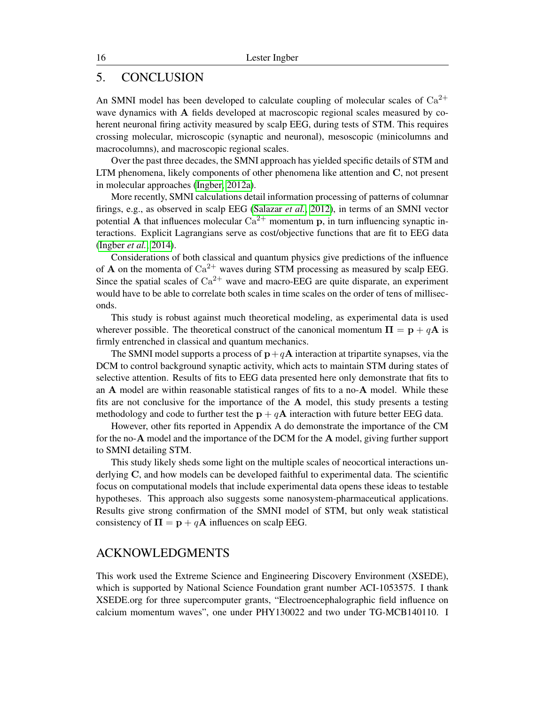# 5. CONCLUSION

An SMNI model has been developed to calculate coupling of molecular scales of  $Ca^{2+}$ wave dynamics with A fields developed at macroscopic regional scales measured by coherent neuronal firing activity measured by scalp EEG, during tests of STM. This requires crossing molecular, microscopic (synaptic and neuronal), mesoscopic (minicolumns and macrocolumns), and macroscopic regional scales.

Over the past three decades, the SMNI approach has yielded specific details of STM and LTM phenomena, likely components of other phenomena like attention and C, not present in molecular approaches [\(Ingber, 2012a\)](#page-29-1).

More recently, SMNI calculations detail information processing of patterns of columnar firings, e.g., as observed in scalp EEG [\(Salazar](#page-32-0) *et al.*, [2012\)](#page-32-0), in terms of an SMNI vector potential A that influences molecular  $Ca^{2+}$  momentum p, in turn influencing synaptic interactions. Explicit Lagrangians serve as cost/objective functions that are fit to EEG data [\(Ingber](#page-30-0) *et al.*, [2014\)](#page-30-0).

Considerations of both classical and quantum physics give predictions of the influence of A on the momenta of  $Ca^{2+}$  waves during STM processing as measured by scalp EEG. Since the spatial scales of  $Ca^{2+}$  wave and macro-EEG are quite disparate, an experiment would have to be able to correlate both scales in time scales on the order of tens of milliseconds.

This study is robust against much theoretical modeling, as experimental data is used wherever possible. The theoretical construct of the canonical momentum  $\Pi = \mathbf{p} + q\mathbf{A}$  is firmly entrenched in classical and quantum mechanics.

The SMNI model supports a process of  $p+qA$  interaction at tripartite synapses, via the DCM to control background synaptic activity, which acts to maintain STM during states of selective attention. Results of fits to EEG data presented here only demonstrate that fits to an A model are within reasonable statistical ranges of fits to a no-A model. While these fits are not conclusive for the importance of the A model, this study presents a testing methodology and code to further test the  $p + qA$  interaction with future better EEG data.

However, other fits reported in Appendix A do demonstrate the importance of the CM for the no-A model and the importance of the DCM for the A model, giving further support to SMNI detailing STM.

This study likely sheds some light on the multiple scales of neocortical interactions underlying C, and how models can be developed faithful to experimental data. The scientific focus on computational models that include experimental data opens these ideas to testable hypotheses. This approach also suggests some nanosystem-pharmaceutical applications. Results give strong confirmation of the SMNI model of STM, but only weak statistical consistency of  $\Pi = \mathbf{p} + q\mathbf{A}$  influences on scalp EEG.

# ACKNOWLEDGMENTS

This work used the Extreme Science and Engineering Discovery Environment (XSEDE), which is supported by National Science Foundation grant number ACI-1053575. I thank XSEDE.org for three supercomputer grants, "Electroencephalographic field influence on calcium momentum waves", one under PHY130022 and two under TG-MCB140110. I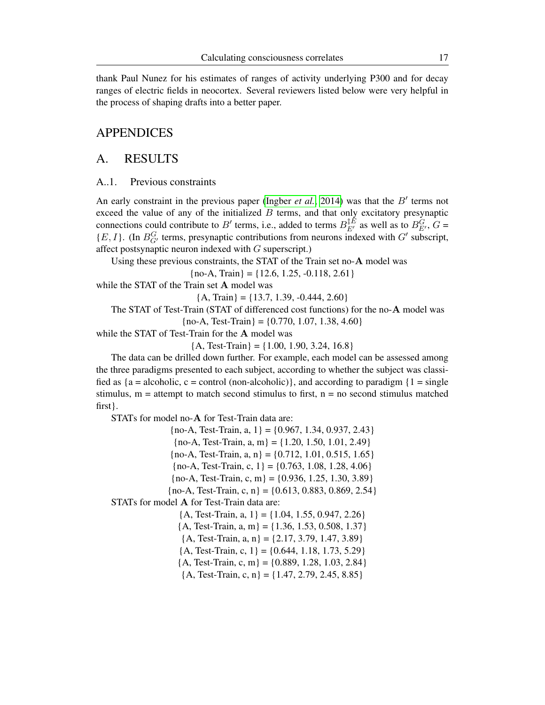thank Paul Nunez for his estimates of ranges of activity underlying P300 and for decay ranges of electric fields in neocortex. Several reviewers listed below were very helpful in the process of shaping drafts into a better paper.

# APPENDICES

# A. RESULTS

# A..1. Previous constraints

An early constraint in the previous paper [\(Ingber](#page-30-0)  $et$   $al$ , [2014\)](#page-30-0) was that the  $B'$  terms not exceed the value of any of the initialized  $B$  terms, and that only excitatory presynaptic connections could contribute to B' terms, i.e., added to terms  $B_{E'}^{t\bar{E}}$  as well as to  $B_{E'}^{\bar{G}}, \bar{G}$  $\{E, I\}$ . (In  $B_{G'}^G$  terms, presynaptic contributions from neurons indexed with  $G'$  subscript, affect postsynaptic neuron indexed with G superscript.)

Using these previous constraints, the STAT of the Train set no-A model was

 ${no-A, Train} = {12.6, 1.25, -0.118, 2.61}$ 

while the STAT of the Train set A model was

 ${A, Train} = {13.7, 1.39, -0.444, 2.60}$ 

The STAT of Test-Train (STAT of differenced cost functions) for the no-A model was

 ${no-A, Test-Train} = {0.770, 1.07, 1.38, 4.60}$ 

while the STAT of Test-Train for the A model was

 ${A, Test-Train} = {1.00, 1.90, 3.24, 16.8}$ 

The data can be drilled down further. For example, each model can be assessed among the three paradigms presented to each subject, according to whether the subject was classified as  ${a = \text{alcoholic}, c = \text{control (non-alcoholic)}},$  and according to paradigm  ${1 = \text{single}}$ stimulus,  $m =$  attempt to match second stimulus to first,  $n =$  no second stimulus matched first}.

STATs for model no-A for Test-Train data are:

 ${no-A, Test-Train, a, 1} = {0.967, 1.34, 0.937, 2.43}$  ${no-A, Test-Train, a, m} = {1.20, 1.50, 1.01, 2.49}$  ${no-A, Test-Train, a, n} = {0.712, 1.01, 0.515, 1.65}$  ${no-A, Test-Train, c, 1} = {0.763, 1.08, 1.28, 4.06}$  ${no-A, Test-Train, c, m} = {0.936, 1.25, 1.30, 3.89}$  ${no-A, Test-Train, c, n} = {0.613, 0.883, 0.869, 2.54}$ STATs for model A for Test-Train data are:  ${A, Test-Train, a, 1} = {1.04, 1.55, 0.947, 2.26}$  ${A, Test-Train, a, m} = {1.36, 1.53, 0.508, 1.37}$  ${A, Test-Train, a, n} = {2.17, 3.79, 1.47, 3.89}$  ${A, Test-Train, c, 1} = {0.644, 1.18, 1.73, 5.29}$  ${A, Test-Train, c, m} = {0.889, 1.28, 1.03, 2.84}$  ${A, Test-Train, c, n} = \{1.47, 2.79, 2.45, 8.85\}$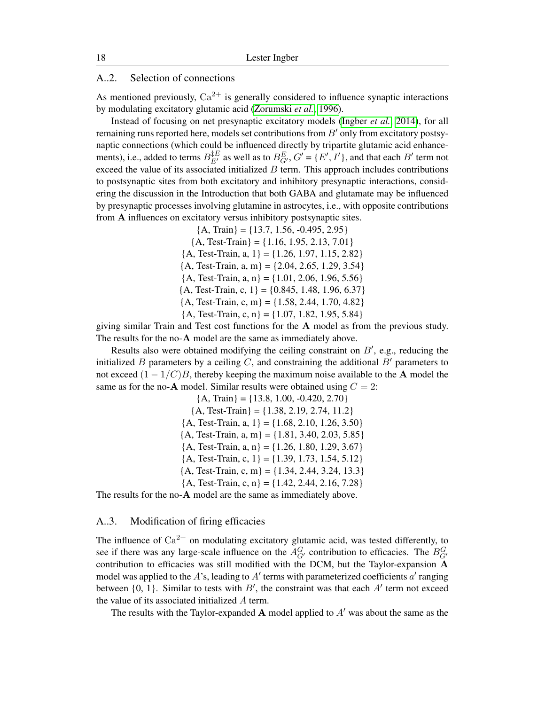# A..2. Selection of connections

As mentioned previously,  $Ca^{2+}$  is generally considered to influence synaptic interactions by modulating excitatory glutamic acid [\(Zorumski](#page-34-0) *et al.*, [1996\)](#page-34-0).

Instead of focusing on net presynaptic excitatory models [\(Ingber](#page-30-0) *et al.*, [2014\)](#page-30-0), for all remaining runs reported here, models set contributions from  $B'$  only from excitatory postsynaptic connections (which could be influenced directly by tripartite glutamic acid enhancements), i.e., added to terms  $B_{E'}^{\dagger E}$  as well as to  $B_{G'}^E$ ,  $G' = \{E', I'\}$ , and that each  $B'$  term not exceed the value of its associated initialized  $B$  term. This approach includes contributions to postsynaptic sites from both excitatory and inhibitory presynaptic interactions, considering the discussion in the Introduction that both GABA and glutamate may be influenced by presynaptic processes involving glutamine in astrocytes, i.e., with opposite contributions from A influences on excitatory versus inhibitory postsynaptic sites.

> ${A, Train} = {13.7, 1.56, -0.495, 2.95}$  ${A, Test-Train} = {1.16, 1.95, 2.13, 7.01}$  ${A, Test-Train, a, 1} = {1.26, 1.97, 1.15, 2.82}$  ${A, Test-Train, a, m} = {2.04, 2.65, 1.29, 3.54}$  ${A, Test-Train, a, n} = {1.01, 2.06, 1.96, 5.56}$ {A, Test-Train, c, 1} = {0.845, 1.48, 1.96, 6.37}  ${A, Test-Train, c, m} = {1.58, 2.44, 1.70, 4.82}$  ${A, Test-Train, c, n} = \{1.07, 1.82, 1.95, 5.84\}$

giving similar Train and Test cost functions for the A model as from the previous study. The results for the no-A model are the same as immediately above.

Results also were obtained modifying the ceiling constraint on  $B'$ , e.g., reducing the initialized B parameters by a ceiling C, and constraining the additional  $B'$  parameters to not exceed  $(1 - 1/C)B$ , thereby keeping the maximum noise available to the **A** model the same as for the no-A model. Similar results were obtained using  $C = 2$ :

> ${A, Train} = {13.8, 1.00, -0.420, 2.70}$  ${A, Test-Train} = {1.38, 2.19, 2.74, 11.2}$  ${A, Test-Train, a, 1} = {1.68, 2.10, 1.26, 3.50}$  ${A, Test-Train, a, m} = {1.81, 3.40, 2.03, 5.85}$  ${A, Test-Train, a, n} = {1.26, 1.80, 1.29, 3.67}$  ${A, Test-Train, c, 1} = {1.39, 1.73, 1.54, 5.12}$  ${A, Test-Train, c, m} = {1.34, 2.44, 3.24, 13.3}$  ${A, Test-Train, c, n} = \{1.42, 2.44, 2.16, 7.28\}$

The results for the no-A model are the same as immediately above.

#### A..3. Modification of firing efficacies

The influence of  $Ca^{2+}$  on modulating excitatory glutamic acid, was tested differently, to see if there was any large-scale influence on the  $A_{G}^{G}$  contribution to efficacies. The  $B_{G'}^{G}$ contribution to efficacies was still modified with the DCM, but the Taylor-expansion A model was applied to the A's, leading to A' terms with parameterized coefficients  $a'$  ranging between  $\{0, 1\}$ . Similar to tests with  $B'$ , the constraint was that each  $A'$  term not exceed the value of its associated initialized A term.

The results with the Taylor-expanded A model applied to  $A'$  was about the same as the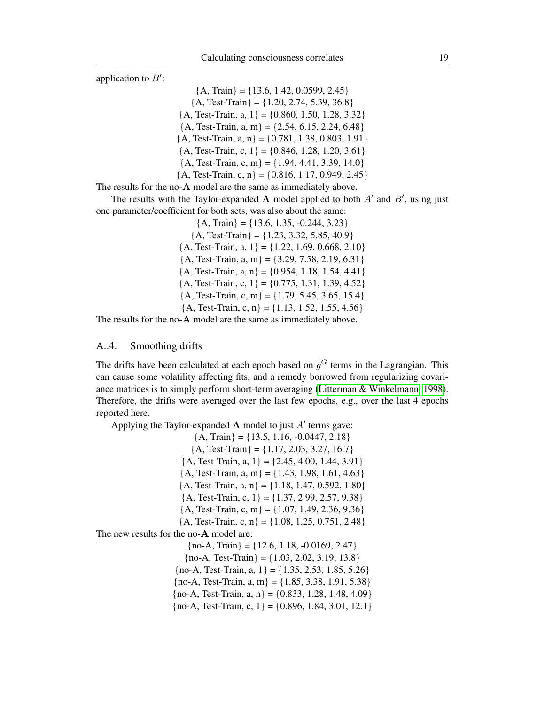application to  $B'$ :

 ${A, Train} = {13.6, 1.42, 0.0599, 2.45}$  ${A, Test-Train} = {1.20, 2.74, 5.39, 36.8}$  ${A, Test-Train, a, 1} = {0.860, 1.50, 1.28, 3.32}$  ${A, Test-Train, a, m} = \{2.54, 6.15, 2.24, 6.48\}$  ${A, Test-Train, a, n} = {0.781, 1.38, 0.803, 1.91}$  ${A, Test-Train, c, 1} = {0.846, 1.28, 1.20, 3.61}$  ${A, Test-Train, c, m} = {1.94, 4.41, 3.39, 14.0}$  ${A, Test-Train, c, n} = {0.816, 1.17, 0.949, 2.45}$ 

The results for the no-A model are the same as immediately above.

The results with the Taylor-expanded A model applied to both  $A'$  and  $B'$ , using just one parameter/coefficient for both sets, was also about the same:

> ${A, Train} = {13.6, 1.35, -0.244, 3.23}$  ${A, Test-Train} = {1.23, 3.32, 5.85, 40.9}$  ${A, Test-Train, a, 1} = {1.22, 1.69, 0.668, 2.10}$  ${A, Test-Train, a, m} = {3.29, 7.58, 2.19, 6.31}$  ${A, Test-Train, a, n} = {0.954, 1.18, 1.54, 4.41}$  ${A, Test-Train, c, 1} = {0.775, 1.31, 1.39, 4.52}$  ${A, Test-Train, c, m} = {1.79, 5.45, 3.65, 15.4}$  ${A, Test-Train, c, n} = {1.13, 1.52, 1.55, 4.56}$

The results for the no-A model are the same as immediately above.

#### A..4. Smoothing drifts

The drifts have been calculated at each epoch based on  $g<sup>G</sup>$  terms in the Lagrangian. This can cause some volatility affecting fits, and a remedy borrowed from regularizing covariance matrices is to simply perform short-term averaging [\(Litterman & Winkelmann, 1998\)](#page-31-12). Therefore, the drifts were averaged over the last few epochs, e.g., over the last 4 epochs reported here.

Applying the Taylor-expanded  $A$  model to just  $A'$  terms gave:  ${A, Train} = {13.5, 1.16, -0.0447, 2.18}$  ${A, Test-Train} = {1.17, 2.03, 3.27, 16.7}$  ${A, Test-Train, a, 1} = {2.45, 4.00, 1.44, 3.91}$  ${A, Test-Train, a, m} = \{1.43, 1.98, 1.61, 4.63\}$  ${A, Test-Train, a, n} = {1.18, 1.47, 0.592, 1.80}$  ${A, Test-Train, c, 1} = {1.37, 2.99, 2.57, 9.38}$  ${A, Test-Train, c, m} = {1.07, 1.49, 2.36, 9.36}$  ${A, Test-Train, c, n} = {1.08, 1.25, 0.751, 2.48}$ The new results for the no-A model are:  ${no-A, Train} = {12.6, 1.18, -0.0169, 2.47}$  ${no-A, Test-Train} = {1.03, 2.02, 3.19, 13.8}$  ${no-A, Test-Train, a, 1} = {1.35, 2.53, 1.85, 5.26}$  ${no-A, Test-Train, a, m} = {1.85, 3.38, 1.91, 5.38}$  ${no-A, Test-Train, a, n} = {0.833, 1.28, 1.48, 4.09}$ {no-A, Test-Train, c, 1} = {0.896, 1.84, 3.01, 12.1}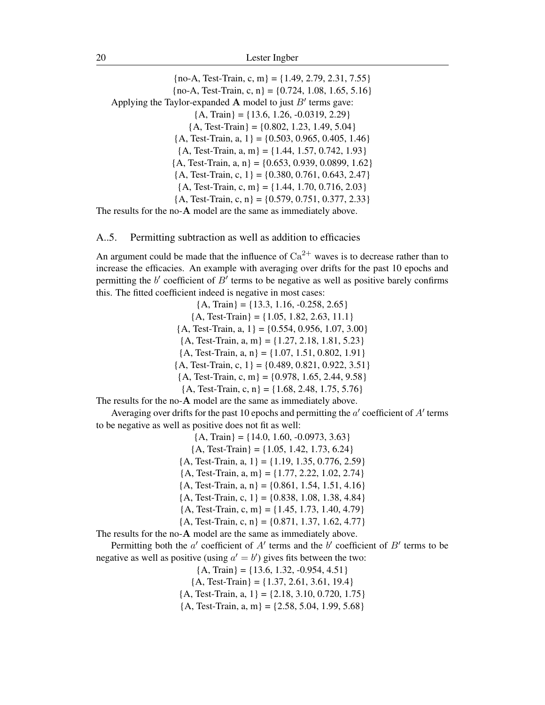${no-A, Test-Train, c, m} = {1.49, 2.79, 2.31, 7.55}$  ${no-A, Test-Train, c, n} = {0.724, 1.08, 1.65, 5.16}$ Applying the Taylor-expanded A model to just  $B'$  terms gave:  ${A, Train} = {13.6, 1.26, -0.0319, 2.29}$  ${A, Test-Train} = {0.802, 1.23, 1.49, 5.04}$  ${A, Test-Train, a, 1} = {0.503, 0.965, 0.405, 1.46}$  ${A, Test-Train, a, m} = {1.44, 1.57, 0.742, 1.93}$  ${A, Test-Train, a, n} = {0.653, 0.939, 0.0899, 1.62}$  ${A, Test-Train, c, 1} = {0.380, 0.761, 0.643, 2.47}$  ${A, Test-Train, c, m} = {1.44, 1.70, 0.716, 2.03}$  ${A, Test-Train, c, n} = {0.579, 0.751, 0.377, 2.33}$ 

The results for the no-A model are the same as immediately above.

#### A..5. Permitting subtraction as well as addition to efficacies

An argument could be made that the influence of  $Ca^{2+}$  waves is to decrease rather than to increase the efficacies. An example with averaging over drifts for the past 10 epochs and permitting the  $b'$  coefficient of  $B'$  terms to be negative as well as positive barely confirms this. The fitted coefficient indeed is negative in most cases:

 ${A, Train} = {13.3, 1.16, -0.258, 2.65}$  ${A, Test-Train} = {1.05, 1.82, 2.63, 11.1}$  ${A, Test-Train, a, 1} = {0.554, 0.956, 1.07, 3.00}$  ${A, Test-Train, a, m} = {1.27, 2.18, 1.81, 5.23}$  ${A, Test-Train, a, n} = {1.07, 1.51, 0.802, 1.91}$  ${A, Test-Train, c, 1} = {0.489, 0.821, 0.922, 3.51}$  ${A, Test-Train, c, m} = {0.978, 1.65, 2.44, 9.58}$  ${A, Test-Train, c, n} = {1.68, 2.48, 1.75, 5.76}$ The results for the no-A model are the same as immediately above.

Averaging over drifts for the past 10 epochs and permitting the  $a'$  coefficient of  $A'$  terms to be negative as well as positive does not fit as well:

> ${A, Train} = {14.0, 1.60, -0.0973, 3.63}$  ${A, Test-Train} = {1.05, 1.42, 1.73, 6.24}$  ${A, Test-Train, a, 1} = {1.19, 1.35, 0.776, 2.59}$  ${A, Test-Train, a, m} = {1.77, 2.22, 1.02, 2.74}$  ${A, Test-Train, a, n} = {0.861, 1.54, 1.51, 4.16}$  ${A, Test-Train, c, 1} = {0.838, 1.08, 1.38, 4.84}$  ${A, Test-Train, c, m} = {1.45, 1.73, 1.40, 4.79}$  ${A, Test-Train, c, n} = {0.871, 1.37, 1.62, 4.77}$

The results for the no-A model are the same as immediately above.

Permitting both the  $a'$  coefficient of  $A'$  terms and the  $b'$  coefficient of  $B'$  terms to be negative as well as positive (using  $a' = b'$ ) gives fits between the two:

 ${A, Train} = {13.6, 1.32, -0.954, 4.51}$ 

- ${A, Test-Train} = {1.37, 2.61, 3.61, 19.4}$
- ${A, Test-Train, a, 1} = {2.18, 3.10, 0.720, 1.75}$

 ${A, Test-Train, a, m} = {2.58, 5.04, 1.99, 5.68}$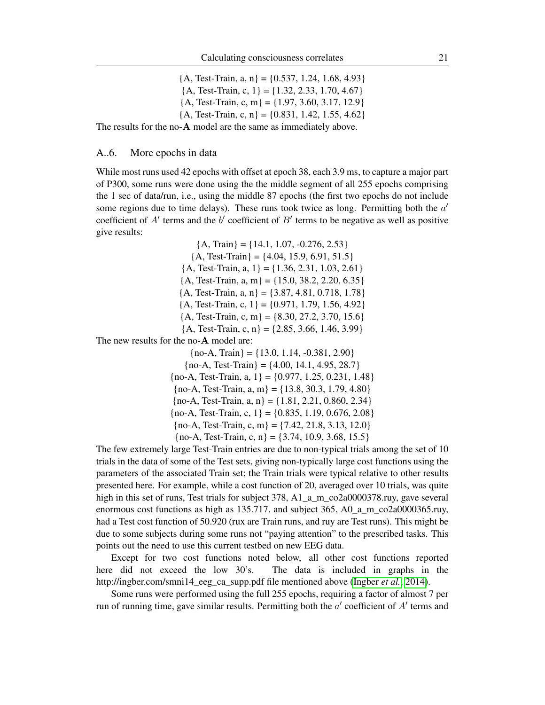${A, Test-Train, a, n} = {0.537, 1.24, 1.68, 4.93}$  ${A, Test-Train, c, 1} = {1.32, 2.33, 1.70, 4.67}$  ${A, Test-Train, c, m} = {1.97, 3.60, 3.17, 12.9}$  ${A, Test-Train, c, n} = {0.831, 1.42, 1.55, 4.62}$ 

The results for the no-A model are the same as immediately above.

#### A..6. More epochs in data

While most runs used 42 epochs with offset at epoch 38, each 3.9 ms, to capture a major part of P300, some runs were done using the the middle segment of all 255 epochs comprising the 1 sec of data/run, i.e., using the middle 87 epochs (the first two epochs do not include some regions due to time delays). These runs took twice as long. Permitting both the  $a'$ coefficient of  $A'$  terms and the b' coefficient of  $B'$  terms to be negative as well as positive give results:

> ${A, Train} = {14.1, 1.07, -0.276, 2.53}$  ${A, Test-Train} = {4.04, 15.9, 6.91, 51.5}$  ${A, Test-Train, a, 1} = {1.36, 2.31, 1.03, 2.61}$  ${A, Test-Train, a, m} = {15.0, 38.2, 2.20, 6.35}$  ${A, Test-Train, a, n} = {3.87, 4.81, 0.718, 1.78}$  ${A, Test-Train, c, 1} = {0.971, 1.79, 1.56, 4.92}$  ${A, Test-Train, c, m} = {8.30, 27.2, 3.70, 15.6}$  ${A, Test-Train, c, n} = {2.85, 3.66, 1.46, 3.99}$

The new results for the no-A model are:

 ${no-A, Train} = {13.0, 1.14, -0.381, 2.90}$  ${no-A, Test-Train} = {4.00, 14.1, 4.95, 28.7}$  ${no-A, Test-Train, a, 1} = {0.977, 1.25, 0.231, 1.48}$  ${no-A, Test-Train, a, m} = {13.8, 30.3, 1.79, 4.80}$  ${no-A, Test-Train, a, n} = {1.81, 2.21, 0.860, 2.34}$  ${no-A, Test-Train, c, 1} = {0.835, 1.19, 0.676, 2.08}$  ${no-A, Test-Train, c, m} = {7.42, 21.8, 3.13, 12.0}$  ${no-A, Test-Train, c, n} = {3.74, 10.9, 3.68, 15.5}$ 

The few extremely large Test-Train entries are due to non-typical trials among the set of 10 trials in the data of some of the Test sets, giving non-typically large cost functions using the parameters of the associated Train set; the Train trials were typical relative to other results presented here. For example, while a cost function of 20, averaged over 10 trials, was quite high in this set of runs, Test trials for subject 378, A1\_a\_m\_co2a0000378.ruy, gave several enormous cost functions as high as 135.717, and subject 365, A0\_a\_m\_co2a0000365.ruy, had a Test cost function of 50.920 (rux are Train runs, and ruy are Test runs). This might be due to some subjects during some runs not "paying attention" to the prescribed tasks. This points out the need to use this current testbed on new EEG data.

Except for two cost functions noted below, all other cost functions reported here did not exceed the low 30's. The data is included in graphs in the http://ingber.com/smni14\_eeg\_ca\_supp.pdf file mentioned above [\(Ingber](#page-30-0) *et al.*, [2014\)](#page-30-0).

Some runs were performed using the full 255 epochs, requiring a factor of almost 7 per run of running time, gave similar results. Permitting both the  $a'$  coefficient of  $A'$  terms and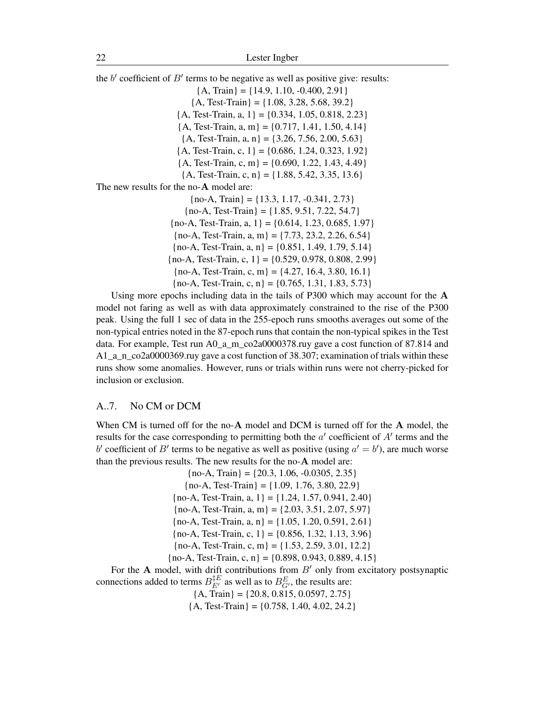the  $b'$  coefficient of  $B'$  terms to be negative as well as positive give: results:  ${A, Train} = {14.9, 1.10, -0.400, 2.91}$  ${A, Test-Train} = {1.08, 3.28, 5.68, 39.2}$  ${A, Test-Train, a, 1} = {0.334, 1.05, 0.818, 2.23}$  ${A, Test-Train, a, m} = \{0.717, 1.41, 1.50, 4.14\}$  ${A, Test-Train, a, n} = {3.26, 7.56, 2.00, 5.63}$  ${A, Test-Train, c, 1} = {0.686, 1.24, 0.323, 1.92}$  ${A, Test-Train, c, m} = {0.690, 1.22, 1.43, 4.49}$  ${A, Test-Train, c, n} = {1.88, 5.42, 3.35, 13.6}$ The new results for the no-A model are:  ${no-A, Train} = {13.3, 1.17, -0.341, 2.73}$  ${no-A, Test-Train} = {1.85, 9.51, 7.22, 54.7}$  ${no-A, Test-Train, a, 1} = {0.614, 1.23, 0.685, 1.97}$  ${no-A, Test-Train, a, m} = {7.73, 23.2, 2.26, 6.54}$  ${no-A, Test-Train, a, n} = {0.851, 1.49, 1.79, 5.14}$  ${no-A, Test-Train, c, 1} = {0.529, 0.978, 0.808, 2.99}$  ${no-A, Test-Train, c, m} = {4.27, 16.4, 3.80, 16.1}$  ${no-A, Test-Train, c, n} = {0.765, 1.31, 1.83, 5.73}$ 

Using more epochs including data in the tails of  $P300$  which may account for the  $\bf{A}$ model not faring as well as with data approximately constrained to the rise of the P300 peak. Using the full 1 sec of data in the 255-epoch runs smooths averages out some of the non-typical entries noted in the 87-epoch runs that contain the non-typical spikes in the Test data. For example, Test run A0\_a\_m\_co2a0000378.ruy gave a cost function of 87.814 and A1\_a\_n\_co2a0000369.ruy gave a cost function of 38.307; examination of trials within these runs show some anomalies. However, runs or trials within runs were not cherry-picked for inclusion or exclusion.

#### A..7. No CM or DCM

When CM is turned off for the no-A model and DCM is turned off for the A model, the results for the case corresponding to permitting both the  $a'$  coefficient of  $A'$  terms and the b' coefficient of B' terms to be negative as well as positive (using  $a' = b'$ ), are much worse than the previous results. The new results for the no-A model are:

> ${no-A, Train} = {20.3, 1.06, -0.0305, 2.35}$  ${no-A, Test-Train} = {1.09, 1.76, 3.80, 22.9}$  ${no-A, Test-Train, a, 1} = {1.24, 1.57, 0.941, 2.40}$  ${no-A, Test-Train, a, m} = {2.03, 3.51, 2.07, 5.97}$  ${no-A, Test-Train, a, n} = {1.05, 1.20, 0.591, 2.61}$  ${no-A, Test-Train, c, 1} = {0.856, 1.32, 1.13, 3.96}$  ${no-A, Test-Train, c, m} = {1.53, 2.59, 3.01, 12.2}$  ${no-A, Test-Train, c, n} = {0.898, 0.943, 0.889, 4.15}$

For the A model, with drift contributions from  $B'$  only from excitatory postsynaptic connections added to terms  $B_{E'}^{\dagger E}$  as well as to  $B_{G'}^E$ , the results are:

 ${A, Train} = {20.8, 0.815, 0.0597, 2.75}$ 

 ${A, Test-Train} = {0.758, 1.40, 4.02, 24.2}$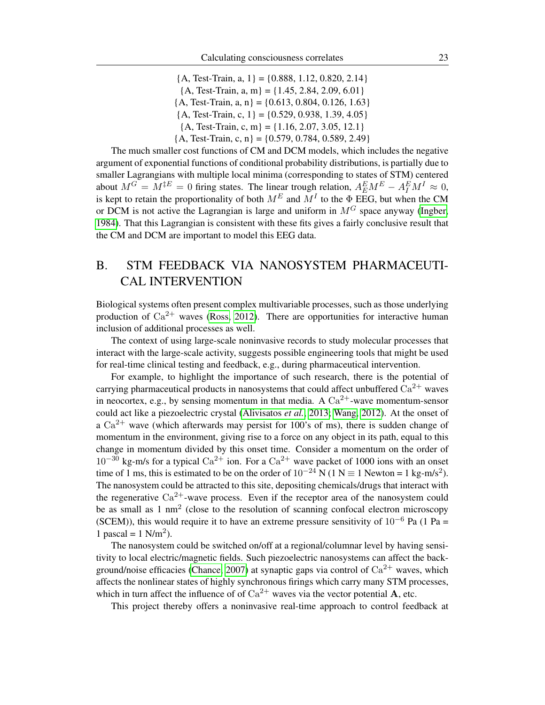${A, Test-Train, a, 1} = {0.888, 1.12, 0.820, 2.14}$  ${A, Test-Train, a, m} = {1.45, 2.84, 2.09, 6.01}$  ${A, Test-Train, a, n} = {0.613, 0.804, 0.126, 1.63}$  ${A, Test-Train, c, 1} = {0.529, 0.938, 1.39, 4.05}$  ${A, Test-Train, c, m} = {1.16, 2.07, 3.05, 12.1}$  ${A, Test-Train, c, n} = {0.579, 0.784, 0.589, 2.49}$ 

The much smaller cost functions of CM and DCM models, which includes the negative argument of exponential functions of conditional probability distributions, is partially due to smaller Lagrangians with multiple local minima (corresponding to states of STM) centered about  $M^G = M^{\ddagger E} = 0$  firing states. The linear trough relation,  $A_E^E M^E - A_I^E M^I \approx 0$ , is kept to retain the proportionality of both  $M^E$  and  $M^I$  to the  $\Phi$  EEG, but when the CM or DCM is not active the Lagrangian is large and uniform in  $M<sup>G</sup>$  space anyway [\(Ingber,](#page-28-2) [1984\)](#page-28-2). That this Lagrangian is consistent with these fits gives a fairly conclusive result that the CM and DCM are important to model this EEG data.

# B. STM FEEDBACK VIA NANOSYSTEM PHARMACEUTI-CAL INTERVENTION

Biological systems often present complex multivariable processes, such as those underlying production of  $Ca^{2+}$  waves [\(Ross, 2012\)](#page-32-5). There are opportunities for interactive human inclusion of additional processes as well.

The context of using large-scale noninvasive records to study molecular processes that interact with the large-scale activity, suggests possible engineering tools that might be used for real-time clinical testing and feedback, e.g., during pharmaceutical intervention.

For example, to highlight the importance of such research, there is the potential of carrying pharmaceutical products in nanosystems that could affect unbuffered  $Ca^{2+}$  waves in neocortex, e.g., by sensing momentum in that media. A  $Ca^{2+}$ -wave momentum-sensor could act like a piezoelectric crystal [\(Alivisatos](#page-25-8) *et al.*, [2013;](#page-25-8) [Wang, 2012\)](#page-33-11). At the onset of a  $Ca^{2+}$  wave (which afterwards may persist for 100's of ms), there is sudden change of momentum in the environment, giving rise to a force on any object in its path, equal to this change in momentum divided by this onset time. Consider a momentum on the order of  $10^{-30}$  kg-m/s for a typical  $Ca^{2+}$  ion. For a  $Ca^{2+}$  wave packet of 1000 ions with an onset time of 1 ms, this is estimated to be on the order of  $10^{-24}$  N (1 N  $\equiv$  1 Newton = 1 kg-m/s<sup>2</sup>). The nanosystem could be attracted to this site, depositing chemicals/drugs that interact with the regenerative  $Ca^{2+}$ -wave process. Even if the receptor area of the nanosystem could be as small as  $1 \text{ nm}^2$  (close to the resolution of scanning confocal electron microscopy (SCEM)), this would require it to have an extreme pressure sensitivity of  $10^{-6}$  Pa (1 Pa = 1 pascal =  $1 \text{ N/m}^2$ ).

The nanosystem could be switched on/off at a regional/columnar level by having sensitivity to local electric/magnetic fields. Such piezoelectric nanosystems can affect the back-ground/noise efficacies [\(Chance, 2007\)](#page-26-13) at synaptic gaps via control of  $Ca^{2+}$  waves, which affects the nonlinear states of highly synchronous firings which carry many STM processes, which in turn affect the influence of of  $Ca^{2+}$  waves via the vector potential **A**, etc.

This project thereby offers a noninvasive real-time approach to control feedback at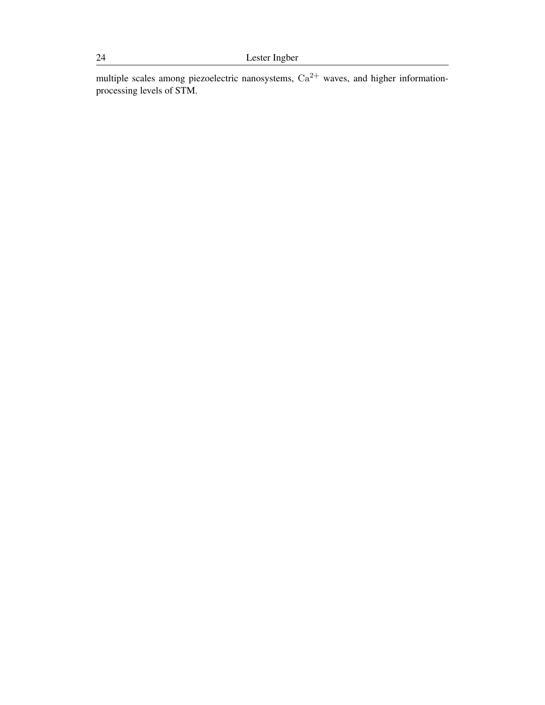multiple scales among piezoelectric nanosystems,  $Ca^{2+}$  waves, and higher informationprocessing levels of STM.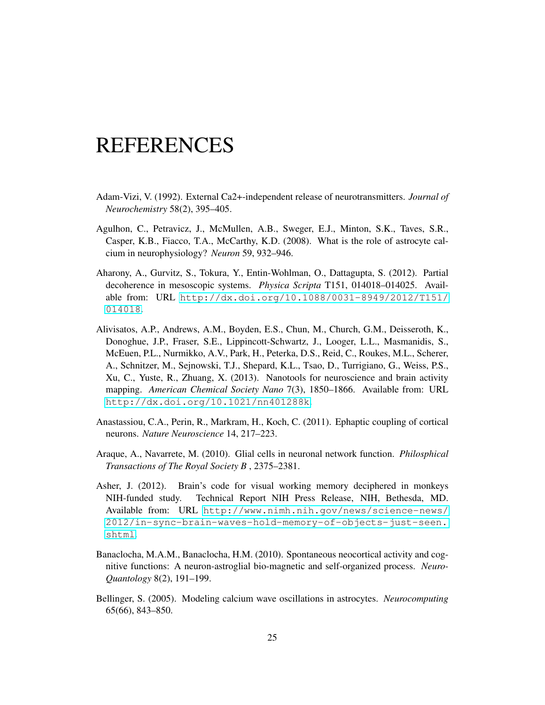# REFERENCES

- <span id="page-25-3"></span>Adam-Vizi, V. (1992). External Ca2+-independent release of neurotransmitters. *Journal of Neurochemistry* 58(2), 395–405.
- <span id="page-25-4"></span>Agulhon, C., Petravicz, J., McMullen, A.B., Sweger, E.J., Minton, S.K., Taves, S.R., Casper, K.B., Fiacco, T.A., McCarthy, K.D. (2008). What is the role of astrocyte calcium in neurophysiology? *Neuron* 59, 932–946.
- <span id="page-25-7"></span>Aharony, A., Gurvitz, S., Tokura, Y., Entin-Wohlman, O., Dattagupta, S. (2012). Partial decoherence in mesoscopic systems. *Physica Scripta* T151, 014018–014025. Available from: URL [http://dx.doi.org/10.1088/0031-8949/2012/T151/](http://dx.doi.org/10.1088/0031-8949/2012/T151/014018) [014018](http://dx.doi.org/10.1088/0031-8949/2012/T151/014018).
- <span id="page-25-8"></span>Alivisatos, A.P., Andrews, A.M., Boyden, E.S., Chun, M., Church, G.M., Deisseroth, K., Donoghue, J.P., Fraser, S.E., Lippincott-Schwartz, J., Looger, L.L., Masmanidis, S., McEuen, P.L., Nurmikko, A.V., Park, H., Peterka, D.S., Reid, C., Roukes, M.L., Scherer, A., Schnitzer, M., Sejnowski, T.J., Shepard, K.L., Tsao, D., Turrigiano, G., Weiss, P.S., Xu, C., Yuste, R., Zhuang, X. (2013). Nanotools for neuroscience and brain activity mapping. *American Chemical Society Nano* 7(3), 1850–1866. Available from: URL <http://dx.doi.org/10.1021/nn401288k>.
- <span id="page-25-1"></span>Anastassiou, C.A., Perin, R., Markram, H., Koch, C. (2011). Ephaptic coupling of cortical neurons. *Nature Neuroscience* 14, 217–223.
- <span id="page-25-5"></span>Araque, A., Navarrete, M. (2010). Glial cells in neuronal network function. *Philosphical Transactions of The Royal Society B* , 2375–2381.
- <span id="page-25-0"></span>Asher, J. (2012). Brain's code for visual working memory deciphered in monkeys NIH-funded study. Technical Report NIH Press Release, NIH, Bethesda, MD. Available from: URL [http://www.nimh.nih.gov/news/science-news/](http://www.nimh.nih.gov/news/science-news/2012/in-sync-brain-waves-hold-memory-of-objects-just-seen.shtml) [2012/in-sync-brain-waves-hold-memory-of-objects-just-seen.](http://www.nimh.nih.gov/news/science-news/2012/in-sync-brain-waves-hold-memory-of-objects-just-seen.shtml) [shtml](http://www.nimh.nih.gov/news/science-news/2012/in-sync-brain-waves-hold-memory-of-objects-just-seen.shtml).
- <span id="page-25-2"></span>Banaclocha, M.A.M., Banaclocha, H.M. (2010). Spontaneous neocortical activity and cognitive functions: A neuron-astroglial bio-magnetic and self-organized process. *Neuro-Quantology* 8(2), 191–199.
- <span id="page-25-6"></span>Bellinger, S. (2005). Modeling calcium wave oscillations in astrocytes. *Neurocomputing* 65(66), 843–850.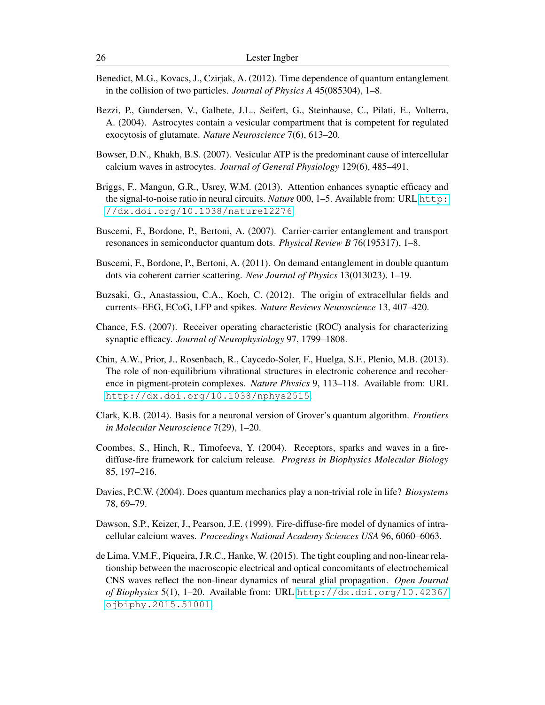- <span id="page-26-10"></span>Benedict, M.G., Kovacs, J., Czirjak, A. (2012). Time dependence of quantum entanglement in the collision of two particles. *Journal of Physics A* 45(085304), 1–8.
- <span id="page-26-11"></span>Bezzi, P., Gundersen, V., Galbete, J.L., Seifert, G., Steinhause, C., Pilati, E., Volterra, A. (2004). Astrocytes contain a vesicular compartment that is competent for regulated exocytosis of glutamate. *Nature Neuroscience* 7(6), 613–20.
- <span id="page-26-5"></span>Bowser, D.N., Khakh, B.S. (2007). Vesicular ATP is the predominant cause of intercellular calcium waves in astrocytes. *Journal of General Physiology* 129(6), 485–491.
- <span id="page-26-12"></span>Briggs, F., Mangun, G.R., Usrey, W.M. (2013). Attention enhances synaptic efficacy and the signal-to-noise ratio in neural circuits. *Nature* 000, 1–5. Available from: URL [http:](http://dx.doi.org/10.1038/nature12276) [//dx.doi.org/10.1038/nature12276](http://dx.doi.org/10.1038/nature12276).
- <span id="page-26-8"></span>Buscemi, F., Bordone, P., Bertoni, A. (2007). Carrier-carrier entanglement and transport resonances in semiconductor quantum dots. *Physical Review B* 76(195317), 1–8.
- <span id="page-26-9"></span>Buscemi, F., Bordone, P., Bertoni, A. (2011). On demand entanglement in double quantum dots via coherent carrier scattering. *New Journal of Physics* 13(013023), 1–19.
- <span id="page-26-2"></span>Buzsaki, G., Anastassiou, C.A., Koch, C. (2012). The origin of extracellular fields and currents–EEG, ECoG, LFP and spikes. *Nature Reviews Neuroscience* 13, 407–420.
- <span id="page-26-13"></span>Chance, F.S. (2007). Receiver operating characteristic (ROC) analysis for characterizing synaptic efficacy. *Journal of Neurophysiology* 97, 1799–1808.
- <span id="page-26-7"></span>Chin, A.W., Prior, J., Rosenbach, R., Caycedo-Soler, F., Huelga, S.F., Plenio, M.B. (2013). The role of non-equilibrium vibrational structures in electronic coherence and recoherence in pigment-protein complexes. *Nature Physics* 9, 113–118. Available from: URL <http://dx.doi.org/10.1038/nphys2515>.
- <span id="page-26-0"></span>Clark, K.B. (2014). Basis for a neuronal version of Grover's quantum algorithm. *Frontiers in Molecular Neuroscience* 7(29), 1–20.
- <span id="page-26-3"></span>Coombes, S., Hinch, R., Timofeeva, Y. (2004). Receptors, sparks and waves in a firediffuse-fire framework for calcium release. *Progress in Biophysics Molecular Biology* 85, 197–216.
- <span id="page-26-6"></span>Davies, P.C.W. (2004). Does quantum mechanics play a non-trivial role in life? *Biosystems* 78, 69–79.
- <span id="page-26-4"></span>Dawson, S.P., Keizer, J., Pearson, J.E. (1999). Fire-diffuse-fire model of dynamics of intracellular calcium waves. *Proceedings National Academy Sciences USA* 96, 6060–6063.
- <span id="page-26-1"></span>de Lima, V.M.F., Piqueira, J.R.C., Hanke, W. (2015). The tight coupling and non-linear relationship between the macroscopic electrical and optical concomitants of electrochemical CNS waves reflect the non-linear dynamics of neural glial propagation. *Open Journal of Biophysics* 5(1), 1–20. Available from: URL [http://dx.doi.org/10.4236/](http://dx.doi.org/10.4236/ojbiphy.2015.51001) [ojbiphy.2015.51001](http://dx.doi.org/10.4236/ojbiphy.2015.51001).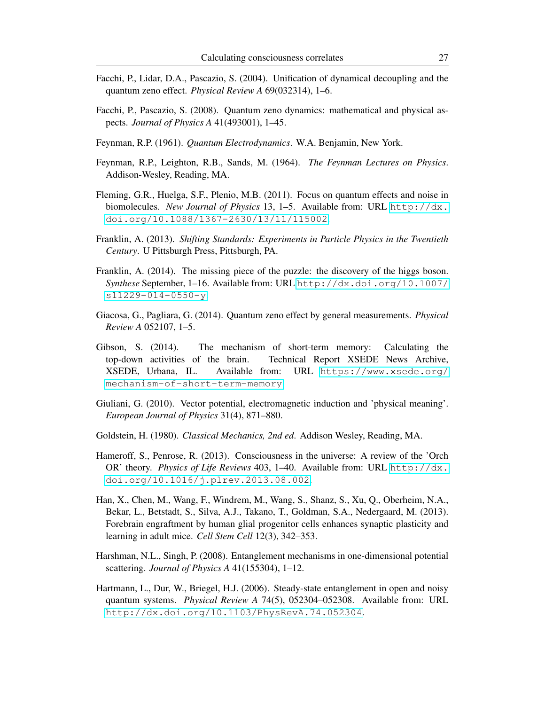- <span id="page-27-7"></span>Facchi, P., Lidar, D.A., Pascazio, S. (2004). Unification of dynamical decoupling and the quantum zeno effect. *Physical Review A* 69(032314), 1–6.
- <span id="page-27-8"></span>Facchi, P., Pascazio, S. (2008). Quantum zeno dynamics: mathematical and physical aspects. *Journal of Physics A* 41(493001), 1–45.
- <span id="page-27-2"></span>Feynman, R.P. (1961). *Quantum Electrodynamics*. W.A. Benjamin, New York.
- <span id="page-27-3"></span>Feynman, R.P., Leighton, R.B., Sands, M. (1964). *The Feynman Lectures on Physics*. Addison-Wesley, Reading, MA.
- <span id="page-27-5"></span>Fleming, G.R., Huelga, S.F., Plenio, M.B. (2011). Focus on quantum effects and noise in biomolecules. *New Journal of Physics* 13, 1–5. Available from: URL [http://dx.](http://dx.doi.org/10.1088/1367-2630/13/11/115002) [doi.org/10.1088/1367-2630/13/11/115002](http://dx.doi.org/10.1088/1367-2630/13/11/115002).
- <span id="page-27-12"></span>Franklin, A. (2013). *Shifting Standards: Experiments in Particle Physics in the Twentieth Century*. U Pittsburgh Press, Pittsburgh, PA.
- <span id="page-27-13"></span>Franklin, A. (2014). The missing piece of the puzzle: the discovery of the higgs boson. *Synthese* September, 1–16. Available from: URL [http://dx.doi.org/10.1007/](http://dx.doi.org/10.1007/s11229-014-0550-y) [s11229-014-0550-y](http://dx.doi.org/10.1007/s11229-014-0550-y).
- <span id="page-27-9"></span>Giacosa, G., Pagliara, G. (2014). Quantum zeno effect by general measurements. *Physical Review A* 052107, 1–5.
- <span id="page-27-14"></span>Gibson, S. (2014). The mechanism of short-term memory: Calculating the top-down activities of the brain. Technical Report XSEDE News Archive, XSEDE, Urbana, IL. Available from: URL [https://www.xsede.org/](https://www.xsede.org/mechanism-of-short-term-memory) [mechanism-of-short-term-memory](https://www.xsede.org/mechanism-of-short-term-memory).
- <span id="page-27-11"></span>Giuliani, G. (2010). Vector potential, electromagnetic induction and 'physical meaning'. *European Journal of Physics* 31(4), 871–880.
- <span id="page-27-4"></span>Goldstein, H. (1980). *Classical Mechanics, 2nd ed*. Addison Wesley, Reading, MA.
- <span id="page-27-0"></span>Hameroff, S., Penrose, R. (2013). Consciousness in the universe: A review of the 'Orch OR' theory. *Physics of Life Reviews* 403, 1–40. Available from: URL [http://dx.](http://dx.doi.org/10.1016/j.plrev.2013.08.002) [doi.org/10.1016/j.plrev.2013.08.002](http://dx.doi.org/10.1016/j.plrev.2013.08.002).
- <span id="page-27-1"></span>Han, X., Chen, M., Wang, F., Windrem, M., Wang, S., Shanz, S., Xu, Q., Oberheim, N.A., Bekar, L., Betstadt, S., Silva, A.J., Takano, T., Goldman, S.A., Nedergaard, M. (2013). Forebrain engraftment by human glial progenitor cells enhances synaptic plasticity and learning in adult mice. *Cell Stem Cell* 12(3), 342–353.
- <span id="page-27-10"></span>Harshman, N.L., Singh, P. (2008). Entanglement mechanisms in one-dimensional potential scattering. *Journal of Physics A* 41(155304), 1–12.
- <span id="page-27-6"></span>Hartmann, L., Dur, W., Briegel, H.J. (2006). Steady-state entanglement in open and noisy quantum systems. *Physical Review A* 74(5), 052304–052308. Available from: URL <http://dx.doi.org/10.1103/PhysRevA.74.052304>.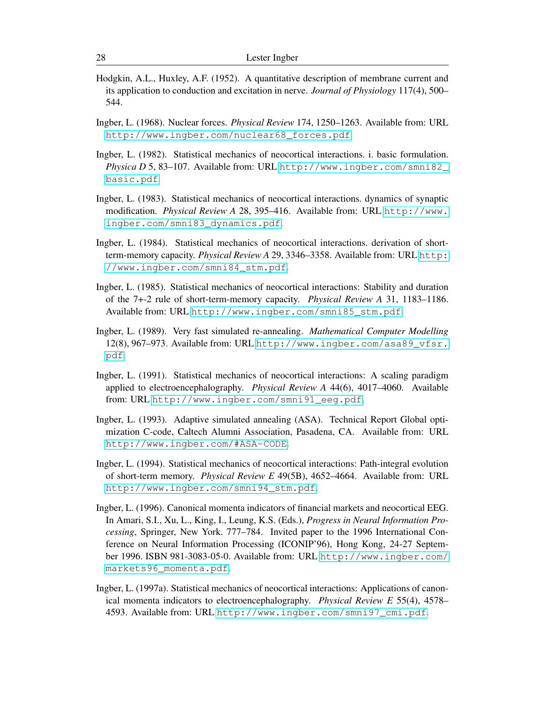- <span id="page-28-10"></span>Hodgkin, A.L., Huxley, A.F. (1952). A quantitative description of membrane current and its application to conduction and excitation in nerve. *Journal of Physiology* 117(4), 500– 544.
- <span id="page-28-11"></span>Ingber, L. (1968). Nuclear forces. *Physical Review* 174, 1250–1263. Available from: URL [http://www.ingber.com/nuclear68\\_forces.pdf](http://www.ingber.com/nuclear68_forces.pdf).
- <span id="page-28-0"></span>Ingber, L. (1982). Statistical mechanics of neocortical interactions. i. basic formulation. *Physica D* 5, 83–107. Available from: URL [http://www.ingber.com/smni82\\_](http://www.ingber.com/smni82_basic.pdf) [basic.pdf](http://www.ingber.com/smni82_basic.pdf).
- <span id="page-28-1"></span>Ingber, L. (1983). Statistical mechanics of neocortical interactions. dynamics of synaptic modification. *Physical Review A* 28, 395–416. Available from: URL [http://www.](http://www.ingber.com/smni83_dynamics.pdf) [ingber.com/smni83\\_dynamics.pdf](http://www.ingber.com/smni83_dynamics.pdf).
- <span id="page-28-2"></span>Ingber, L. (1984). Statistical mechanics of neocortical interactions. derivation of shortterm-memory capacity. *Physical Review A* 29, 3346–3358. Available from: URL [http:](http://www.ingber.com/smni84_stm.pdf) [//www.ingber.com/smni84\\_stm.pdf](http://www.ingber.com/smni84_stm.pdf).
- <span id="page-28-3"></span>Ingber, L. (1985). Statistical mechanics of neocortical interactions: Stability and duration of the 7+-2 rule of short-term-memory capacity. *Physical Review A* 31, 1183–1186. Available from: URL [http://www.ingber.com/smni85\\_stm.pdf](http://www.ingber.com/smni85_stm.pdf).
- <span id="page-28-5"></span>Ingber, L. (1989). Very fast simulated re-annealing. *Mathematical Computer Modelling* 12(8), 967–973. Available from: URL [http://www.ingber.com/asa89\\_vfsr.](http://www.ingber.com/asa89_vfsr.pdf) [pdf](http://www.ingber.com/asa89_vfsr.pdf).
- <span id="page-28-8"></span>Ingber, L. (1991). Statistical mechanics of neocortical interactions: A scaling paradigm applied to electroencephalography. *Physical Review A* 44(6), 4017–4060. Available from: URL [http://www.ingber.com/smni91\\_eeg.pdf](http://www.ingber.com/smni91_eeg.pdf).
- <span id="page-28-6"></span>Ingber, L. (1993). Adaptive simulated annealing (ASA). Technical Report Global optimization C-code, Caltech Alumni Association, Pasadena, CA. Available from: URL <http://www.ingber.com/#ASA-CODE>.
- <span id="page-28-4"></span>Ingber, L. (1994). Statistical mechanics of neocortical interactions: Path-integral evolution of short-term memory. *Physical Review E* 49(5B), 4652–4664. Available from: URL [http://www.ingber.com/smni94\\_stm.pdf](http://www.ingber.com/smni94_stm.pdf).
- <span id="page-28-9"></span>Ingber, L. (1996). Canonical momenta indicators of financial markets and neocortical EEG. In Amari, S.I., Xu, L., King, I., Leung, K.S. (Eds.), *Progress in Neural Information Processing*, Springer, New York. 777–784. Invited paper to the 1996 International Conference on Neural Information Processing (ICONIP'96), Hong Kong, 24-27 September 1996. ISBN 981-3083-05-0. Available from: URL [http://www.ingber.com/](http://www.ingber.com/markets96_momenta.pdf) [markets96\\_momenta.pdf](http://www.ingber.com/markets96_momenta.pdf).
- <span id="page-28-7"></span>Ingber, L. (1997a). Statistical mechanics of neocortical interactions: Applications of canonical momenta indicators to electroencephalography. *Physical Review E* 55(4), 4578– 4593. Available from: URL [http://www.ingber.com/smni97\\_cmi.pdf](http://www.ingber.com/smni97_cmi.pdf).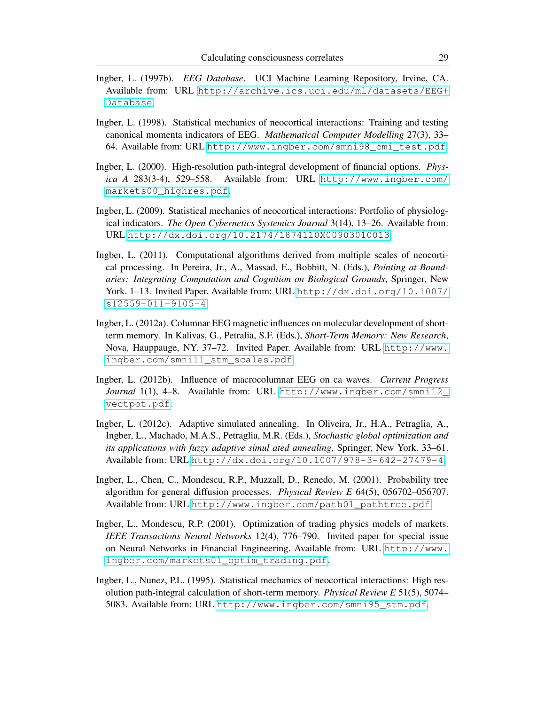- <span id="page-29-7"></span>Ingber, L. (1997b). *EEG Database*. UCI Machine Learning Repository, Irvine, CA. Available from: URL [http://archive.ics.uci.edu/ml/datasets/EEG+](http://archive.ics.uci.edu/ml/datasets/EEG+Database) [Database](http://archive.ics.uci.edu/ml/datasets/EEG+Database).
- <span id="page-29-8"></span>Ingber, L. (1998). Statistical mechanics of neocortical interactions: Training and testing canonical momenta indicators of EEG. *Mathematical Computer Modelling* 27(3), 33– 64. Available from: URL [http://www.ingber.com/smni98\\_cmi\\_test.pdf](http://www.ingber.com/smni98_cmi_test.pdf).
- <span id="page-29-2"></span>Ingber, L. (2000). High-resolution path-integral development of financial options. *Physica A* 283(3-4), 529–558. Available from: URL [http://www.ingber.com/](http://www.ingber.com/markets00_highres.pdf) [markets00\\_highres.pdf](http://www.ingber.com/markets00_highres.pdf).
- <span id="page-29-10"></span>Ingber, L. (2009). Statistical mechanics of neocortical interactions: Portfolio of physiological indicators. *The Open Cybernetics Systemics Journal* 3(14), 13–26. Available from: URL <http://dx.doi.org/10.2174/1874110X00903010013>.
- <span id="page-29-0"></span>Ingber, L. (2011). Computational algorithms derived from multiple scales of neocortical processing. In Pereira, Jr., A., Massad, E., Bobbitt, N. (Eds.), *Pointing at Boundaries: Integrating Computation and Cognition on Biological Grounds*, Springer, New York. 1–13. Invited Paper. Available from: URL [http://dx.doi.org/10.1007/](http://dx.doi.org/10.1007/s12559-011-9105-4) [s12559-011-9105-4](http://dx.doi.org/10.1007/s12559-011-9105-4).
- <span id="page-29-1"></span>Ingber, L. (2012a). Columnar EEG magnetic influences on molecular development of shortterm memory. In Kalivas, G., Petralia, S.F. (Eds.), *Short-Term Memory: New Research*, Nova, Hauppauge, NY. 37–72. Invited Paper. Available from: URL [http://www.](http://www.ingber.com/smni11_stm_scales.pdf) [ingber.com/smni11\\_stm\\_scales.pdf](http://www.ingber.com/smni11_stm_scales.pdf).
- <span id="page-29-4"></span>Ingber, L. (2012b). Influence of macrocolumnar EEG on ca waves. *Current Progress Journal* 1(1), 4–8. Available from: URL [http://www.ingber.com/smni12\\_](http://www.ingber.com/smni12_vectpot.pdf) [vectpot.pdf](http://www.ingber.com/smni12_vectpot.pdf).
- <span id="page-29-5"></span>Ingber, L. (2012c). Adaptive simulated annealing. In Oliveira, Jr., H.A., Petraglia, A., Ingber, L., Machado, M.A.S., Petraglia, M.R. (Eds.), *Stochastic global optimization and its applications with fuzzy adaptive simul ated annealing*, Springer, New York. 33–61. Available from: URL <http://dx.doi.org/10.1007/978-3-642-27479-4>.
- <span id="page-29-6"></span>Ingber, L., Chen, C., Mondescu, R.P., Muzzall, D., Renedo, M. (2001). Probability tree algorithm for general diffusion processes. *Physical Review E* 64(5), 056702–056707. Available from: URL [http://www.ingber.com/path01\\_pathtree.pdf](http://www.ingber.com/path01_pathtree.pdf).
- <span id="page-29-9"></span>Ingber, L., Mondescu, R.P. (2001). Optimization of trading physics models of markets. *IEEE Transactions Neural Networks* 12(4), 776–790. Invited paper for special issue on Neural Networks in Financial Engineering. Available from: URL [http://www.](http://www.ingber.com/markets01_optim_trading.pdf) [ingber.com/markets01\\_optim\\_trading.pdf](http://www.ingber.com/markets01_optim_trading.pdf).
- <span id="page-29-3"></span>Ingber, L., Nunez, P.L. (1995). Statistical mechanics of neocortical interactions: High resolution path-integral calculation of short-term memory. *Physical Review E* 51(5), 5074– 5083. Available from: URL [http://www.ingber.com/smni95\\_stm.pdf](http://www.ingber.com/smni95_stm.pdf).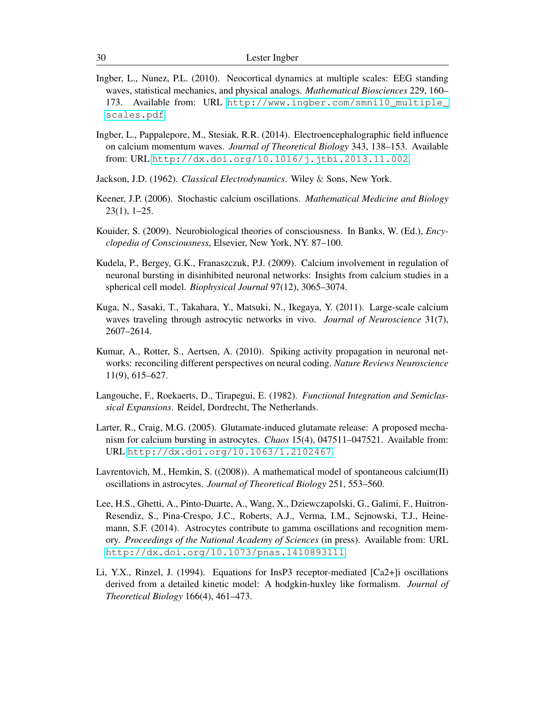- <span id="page-30-7"></span>Ingber, L., Nunez, P.L. (2010). Neocortical dynamics at multiple scales: EEG standing waves, statistical mechanics, and physical analogs. *Mathematical Biosciences* 229, 160– 173. Available from: URL [http://www.ingber.com/smni10\\_multiple\\_](http://www.ingber.com/smni10_multiple_scales.pdf) [scales.pdf](http://www.ingber.com/smni10_multiple_scales.pdf).
- <span id="page-30-0"></span>Ingber, L., Pappalepore, M., Stesiak, R.R. (2014). Electroencephalographic field influence on calcium momentum waves. *Journal of Theoretical Biology* 343, 138–153. Available from: URL <http://dx.doi.org/10.1016/j.jtbi.2013.11.002>.
- <span id="page-30-2"></span>Jackson, J.D. (1962). *Classical Electrodynamics*. Wiley & Sons, New York.
- <span id="page-30-6"></span>Keener, J.P. (2006). Stochastic calcium oscillations. *Mathematical Medicine and Biology* 23(1), 1–25.
- <span id="page-30-1"></span>Kouider, S. (2009). Neurobiological theories of consciousness. In Banks, W. (Ed.), *Encyclopedia of Consciousness*, Elsevier, New York, NY. 87–100.
- <span id="page-30-9"></span>Kudela, P., Bergey, G.K., Franaszczuk, P.J. (2009). Calcium involvement in regulation of neuronal bursting in disinhibited neuronal networks: Insights from calcium studies in a spherical cell model. *Biophysical Journal* 97(12), 3065–3074.
- <span id="page-30-4"></span>Kuga, N., Sasaki, T., Takahara, Y., Matsuki, N., Ikegaya, Y. (2011). Large-scale calcium waves traveling through astrocytic networks in vivo. *Journal of Neuroscience* 31(7), 2607–2614.
- <span id="page-30-3"></span>Kumar, A., Rotter, S., Aertsen, A. (2010). Spiking activity propagation in neuronal networks: reconciling different perspectives on neural coding. *Nature Reviews Neuroscience* 11(9), 615–627.
- <span id="page-30-8"></span>Langouche, F., Roekaerts, D., Tirapegui, E. (1982). *Functional Integration and Semiclassical Expansions*. Reidel, Dordrecht, The Netherlands.
- <span id="page-30-11"></span>Larter, R., Craig, M.G. (2005). Glutamate-induced glutamate release: A proposed mechanism for calcium bursting in astrocytes. *Chaos* 15(4), 047511–047521. Available from: URL <http://dx.doi.org/10.1063/1.2102467>.
- <span id="page-30-12"></span>Lavrentovich, M., Hemkin, S. ((2008)). A mathematical model of spontaneous calcium(II) oscillations in astrocytes. *Journal of Theoretical Biology* 251, 553–560.
- <span id="page-30-5"></span>Lee, H.S., Ghetti, A., Pinto-Duarte, A., Wang, X., Dziewczapolski, G., Galimi, F., Huitron-Resendiz, S., Pina-Crespo, J.C., Roberts, A.J., Verma, I.M., Sejnowski, T.J., Heinemann, S.F. (2014). Astrocytes contribute to gamma oscillations and recognition memory. *Proceedings of the National Academy of Sciences* (in press). Available from: URL <http://dx.doi.org/10.1073/pnas.1410893111>.
- <span id="page-30-10"></span>Li, Y.X., Rinzel, J. (1994). Equations for InsP3 receptor-mediated [Ca2+]i oscillations derived from a detailed kinetic model: A hodgkin-huxley like formalism. *Journal of Theoretical Biology* 166(4), 461–473.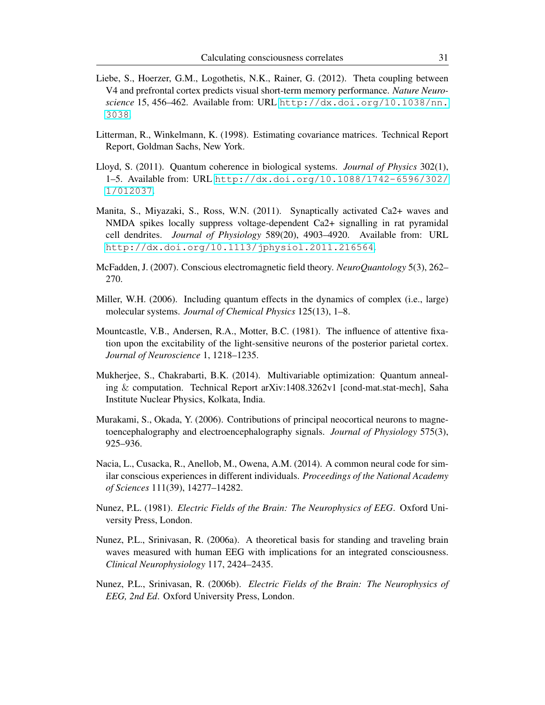- <span id="page-31-3"></span>Liebe, S., Hoerzer, G.M., Logothetis, N.K., Rainer, G. (2012). Theta coupling between V4 and prefrontal cortex predicts visual short-term memory performance. *Nature Neuroscience* 15, 456–462. Available from: URL [http://dx.doi.org/10.1038/nn.](http://dx.doi.org/10.1038/nn.3038) [3038](http://dx.doi.org/10.1038/nn.3038).
- <span id="page-31-12"></span>Litterman, R., Winkelmann, K. (1998). Estimating covariance matrices. Technical Report Report, Goldman Sachs, New York.
- <span id="page-31-7"></span>Lloyd, S. (2011). Quantum coherence in biological systems. *Journal of Physics* 302(1), 1–5. Available from: URL [http://dx.doi.org/10.1088/1742-6596/302/](http://dx.doi.org/10.1088/1742-6596/302/1/012037) [1/012037](http://dx.doi.org/10.1088/1742-6596/302/1/012037).
- <span id="page-31-10"></span>Manita, S., Miyazaki, S., Ross, W.N. (2011). Synaptically activated Ca2+ waves and NMDA spikes locally suppress voltage-dependent Ca2+ signalling in rat pyramidal cell dendrites. *Journal of Physiology* 589(20), 4903–4920. Available from: URL <http://dx.doi.org/10.1113/jphysiol.2011.216564>.
- <span id="page-31-0"></span>McFadden, J. (2007). Conscious electromagnetic field theory. *NeuroQuantology* 5(3), 262– 270.
- <span id="page-31-9"></span>Miller, W.H. (2006). Including quantum effects in the dynamics of complex (i.e., large) molecular systems. *Journal of Chemical Physics* 125(13), 1–8.
- <span id="page-31-11"></span>Mountcastle, V.B., Andersen, R.A., Motter, B.C. (1981). The influence of attentive fixation upon the excitability of the light-sensitive neurons of the posterior parietal cortex. *Journal of Neuroscience* 1, 1218–1235.
- <span id="page-31-6"></span>Mukherjee, S., Chakrabarti, B.K. (2014). Multivariable optimization: Quantum annealing & computation. Technical Report arXiv:1408.3262v1 [cond-mat.stat-mech], Saha Institute Nuclear Physics, Kolkata, India.
- <span id="page-31-4"></span>Murakami, S., Okada, Y. (2006). Contributions of principal neocortical neurons to magnetoencephalography and electroencephalography signals. *Journal of Physiology* 575(3), 925–936.
- <span id="page-31-2"></span>Nacia, L., Cusacka, R., Anellob, M., Owena, A.M. (2014). A common neural code for similar conscious experiences in different individuals. *Proceedings of the National Academy of Sciences* 111(39), 14277–14282.
- <span id="page-31-8"></span>Nunez, P.L. (1981). *Electric Fields of the Brain: The Neurophysics of EEG*. Oxford University Press, London.
- <span id="page-31-1"></span>Nunez, P.L., Srinivasan, R. (2006a). A theoretical basis for standing and traveling brain waves measured with human EEG with implications for an integrated consciousness. *Clinical Neurophysiology* 117, 2424–2435.
- <span id="page-31-5"></span>Nunez, P.L., Srinivasan, R. (2006b). *Electric Fields of the Brain: The Neurophysics of EEG, 2nd Ed*. Oxford University Press, London.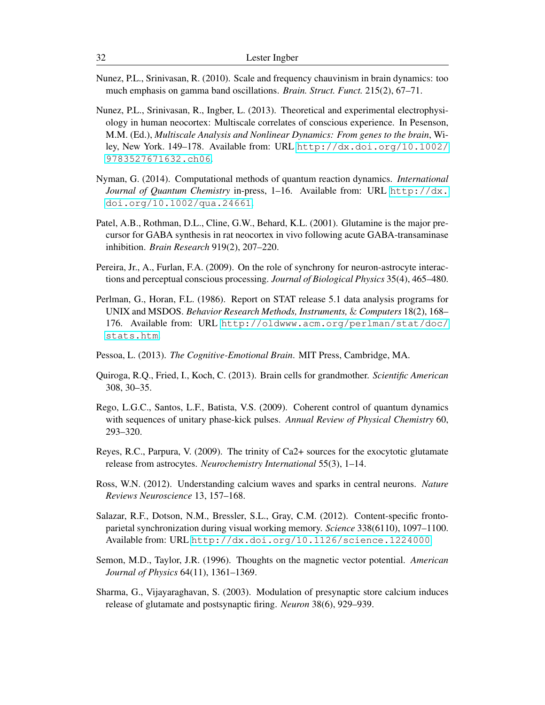- <span id="page-32-3"></span>Nunez, P.L., Srinivasan, R. (2010). Scale and frequency chauvinism in brain dynamics: too much emphasis on gamma band oscillations. *Brain. Struct. Funct.* 215(2), 67–71.
- <span id="page-32-4"></span>Nunez, P.L., Srinivasan, R., Ingber, L. (2013). Theoretical and experimental electrophysiology in human neocortex: Multiscale correlates of conscious experience. In Pesenson, M.M. (Ed.), *Multiscale Analysis and Nonlinear Dynamics: From genes to the brain*, Wiley, New York. 149–178. Available from: URL [http://dx.doi.org/10.1002/](http://dx.doi.org/10.1002/9783527671632.ch06) [9783527671632.ch06](http://dx.doi.org/10.1002/9783527671632.ch06).
- <span id="page-32-10"></span>Nyman, G. (2014). Computational methods of quantum reaction dynamics. *International Journal of Quantum Chemistry* in-press, 1–16. Available from: URL [http://dx.](http://dx.doi.org/10.1002/qua.24661) [doi.org/10.1002/qua.24661](http://dx.doi.org/10.1002/qua.24661).
- <span id="page-32-6"></span>Patel, A.B., Rothman, D.L., Cline, G.W., Behard, K.L. (2001). Glutamine is the major precursor for GABA synthesis in rat neocortex in vivo following acute GABA-transaminase inhibition. *Brain Research* 919(2), 207–220.
- <span id="page-32-1"></span>Pereira, Jr., A., Furlan, F.A. (2009). On the role of synchrony for neuron-astrocyte interactions and perceptual conscious processing. *Journal of Biological Physics* 35(4), 465–480.
- <span id="page-32-13"></span>Perlman, G., Horan, F.L. (1986). Report on STAT release 5.1 data analysis programs for UNIX and MSDOS. *Behavior Research Methods, Instruments,* & *Computers* 18(2), 168– 176. Available from: URL [http://oldwww.acm.org/perlman/stat/doc/](http://oldwww.acm.org/perlman/stat/doc/stats.htm) [stats.htm](http://oldwww.acm.org/perlman/stat/doc/stats.htm).
- <span id="page-32-12"></span>Pessoa, L. (2013). *The Cognitive-Emotional Brain*. MIT Press, Cambridge, MA.
- <span id="page-32-2"></span>Quiroga, R.Q., Fried, I., Koch, C. (2013). Brain cells for grandmother. *Scientific American* 308, 30–35.
- <span id="page-32-9"></span>Rego, L.G.C., Santos, L.F., Batista, V.S. (2009). Coherent control of quantum dynamics with sequences of unitary phase-kick pulses. *Annual Review of Physical Chemistry* 60, 293–320.
- <span id="page-32-8"></span>Reyes, R.C., Parpura, V. (2009). The trinity of Ca2+ sources for the exocytotic glutamate release from astrocytes. *Neurochemistry International* 55(3), 1–14.
- <span id="page-32-5"></span>Ross, W.N. (2012). Understanding calcium waves and sparks in central neurons. *Nature Reviews Neuroscience* 13, 157–168.
- <span id="page-32-0"></span>Salazar, R.F., Dotson, N.M., Bressler, S.L., Gray, C.M. (2012). Content-specific frontoparietal synchronization during visual working memory. *Science* 338(6110), 1097–1100. Available from: URL <http://dx.doi.org/10.1126/science.1224000>.
- <span id="page-32-7"></span>Semon, M.D., Taylor, J.R. (1996). Thoughts on the magnetic vector potential. *American Journal of Physics* 64(11), 1361–1369.
- <span id="page-32-11"></span>Sharma, G., Vijayaraghavan, S. (2003). Modulation of presynaptic store calcium induces release of glutamate and postsynaptic firing. *Neuron* 38(6), 929–939.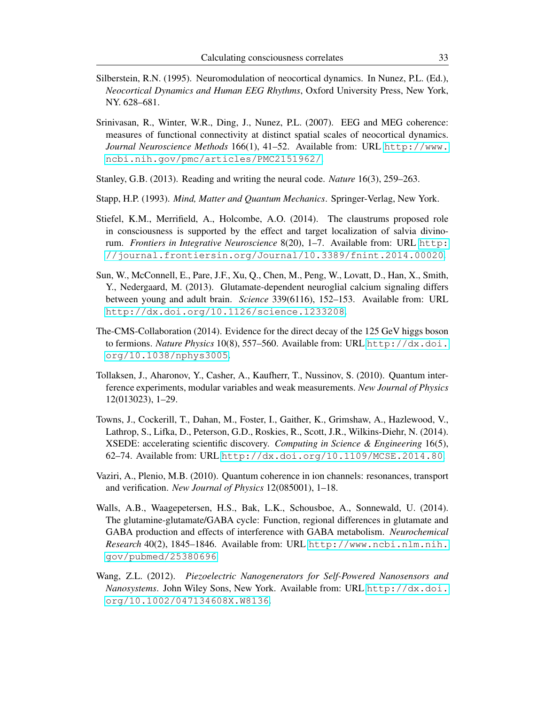- <span id="page-33-1"></span>Silberstein, R.N. (1995). Neuromodulation of neocortical dynamics. In Nunez, P.L. (Ed.), *Neocortical Dynamics and Human EEG Rhythms*, Oxford University Press, New York, NY. 628–681.
- <span id="page-33-6"></span>Srinivasan, R., Winter, W.R., Ding, J., Nunez, P.L. (2007). EEG and MEG coherence: measures of functional connectivity at distinct spatial scales of neocortical dynamics. *Journal Neuroscience Methods* 166(1), 41–52. Available from: URL [http://www.](http://www.ncbi.nih.gov/pmc/articles/PMC2151962/) [ncbi.nih.gov/pmc/articles/PMC2151962/](http://www.ncbi.nih.gov/pmc/articles/PMC2151962/).
- <span id="page-33-2"></span>Stanley, G.B. (2013). Reading and writing the neural code. *Nature* 16(3), 259–263.
- <span id="page-33-7"></span>Stapp, H.P. (1993). *Mind, Matter and Quantum Mechanics*. Springer-Verlag, New York.
- <span id="page-33-0"></span>Stiefel, K.M., Merrifield, A., Holcombe, A.O. (2014). The claustrums proposed role in consciousness is supported by the effect and target localization of salvia divinorum. *Frontiers in Integrative Neuroscience* 8(20), 1–7. Available from: URL [http:](http://journal.frontiersin.org/Journal/10.3389/fnint.2014.00020) [//journal.frontiersin.org/Journal/10.3389/fnint.2014.00020](http://journal.frontiersin.org/Journal/10.3389/fnint.2014.00020).
- <span id="page-33-3"></span>Sun, W., McConnell, E., Pare, J.F., Xu, Q., Chen, M., Peng, W., Lovatt, D., Han, X., Smith, Y., Nedergaard, M. (2013). Glutamate-dependent neuroglial calcium signaling differs between young and adult brain. *Science* 339(6116), 152–153. Available from: URL <http://dx.doi.org/10.1126/science.1233208>.
- <span id="page-33-9"></span>The-CMS-Collaboration (2014). Evidence for the direct decay of the 125 GeV higgs boson to fermions. *Nature Physics* 10(8), 557–560. Available from: URL [http://dx.doi.](http://dx.doi.org/10.1038/nphys3005) [org/10.1038/nphys3005](http://dx.doi.org/10.1038/nphys3005).
- <span id="page-33-5"></span>Tollaksen, J., Aharonov, Y., Casher, A., Kaufherr, T., Nussinov, S. (2010). Quantum interference experiments, modular variables and weak measurements. *New Journal of Physics* 12(013023), 1–29.
- <span id="page-33-10"></span>Towns, J., Cockerill, T., Dahan, M., Foster, I., Gaither, K., Grimshaw, A., Hazlewood, V., Lathrop, S., Lifka, D., Peterson, G.D., Roskies, R., Scott, J.R., Wilkins-Diehr, N. (2014). XSEDE: accelerating scientific discovery. *Computing in Science & Engineering* 16(5), 62–74. Available from: URL <http://dx.doi.org/10.1109/MCSE.2014.80>.
- <span id="page-33-8"></span>Vaziri, A., Plenio, M.B. (2010). Quantum coherence in ion channels: resonances, transport and verification. *New Journal of Physics* 12(085001), 1–18.
- <span id="page-33-4"></span>Walls, A.B., Waagepetersen, H.S., Bak, L.K., Schousboe, A., Sonnewald, U. (2014). The glutamine-glutamate/GABA cycle: Function, regional differences in glutamate and GABA production and effects of interference with GABA metabolism. *Neurochemical Research* 40(2), 1845–1846. Available from: URL [http://www.ncbi.nlm.nih.](http://www.ncbi.nlm.nih.gov/pubmed/25380696) [gov/pubmed/25380696](http://www.ncbi.nlm.nih.gov/pubmed/25380696).
- <span id="page-33-11"></span>Wang, Z.L. (2012). *Piezoelectric Nanogenerators for Self-Powered Nanosensors and Nanosystems*. John Wiley Sons, New York. Available from: URL [http://dx.doi.](http://dx.doi.org/10.1002/047134608X.W8136) [org/10.1002/047134608X.W8136](http://dx.doi.org/10.1002/047134608X.W8136).